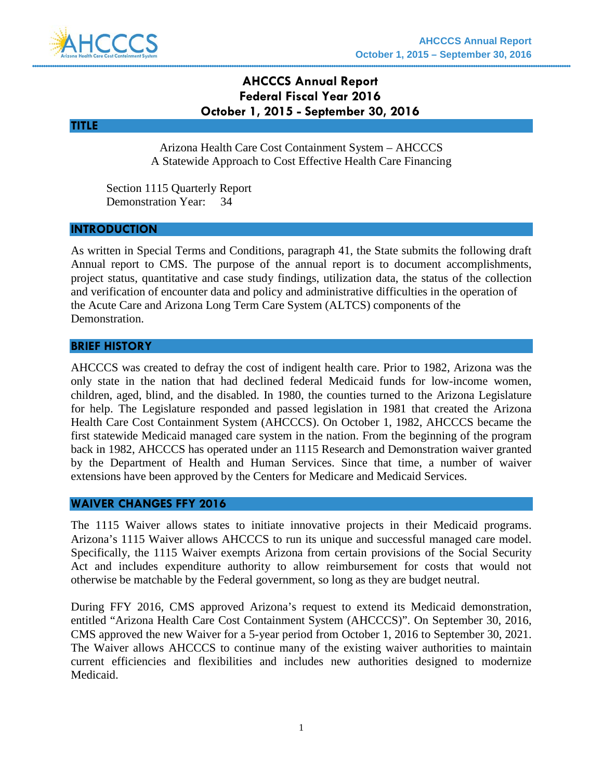

# **AHCCCS Annual Report Federal Fiscal Year 2016 October 1, 2015 - September 30, 2016**

### **TITLE**

Arizona Health Care Cost Containment System – AHCCCS A Statewide Approach to Cost Effective Health Care Financing

Section 1115 Quarterly Report Demonstration Year: 34

#### **INTRODUCTION**

As written in Special Terms and Conditions, paragraph 41, the State submits the following draft Annual report to CMS. The purpose of the annual report is to document accomplishments, project status, quantitative and case study findings, utilization data, the status of the collection and verification of encounter data and policy and administrative difficulties in the operation of the Acute Care and Arizona Long Term Care System (ALTCS) components of the Demonstration.

#### **BRIEF HISTORY**

AHCCCS was created to defray the cost of indigent health care. Prior to 1982, Arizona was the only state in the nation that had declined federal Medicaid funds for low-income women, children, aged, blind, and the disabled. In 1980, the counties turned to the Arizona Legislature for help. The Legislature responded and passed legislation in 1981 that created the Arizona Health Care Cost Containment System (AHCCCS). On October 1, 1982, AHCCCS became the first statewide Medicaid managed care system in the nation. From the beginning of the program back in 1982, AHCCCS has operated under an 1115 Research and Demonstration waiver granted by the Department of Health and Human Services. Since that time, a number of waiver extensions have been approved by the Centers for Medicare and Medicaid Services.

### **WAIVER CHANGES FFY 2016**

The 1115 Waiver allows states to initiate innovative projects in their Medicaid programs. Arizona's 1115 Waiver allows AHCCCS to run its unique and successful managed care model. Specifically, the 1115 Waiver exempts Arizona from certain provisions of the Social Security Act and includes expenditure authority to allow reimbursement for costs that would not otherwise be matchable by the Federal government, so long as they are budget neutral.

During FFY 2016, CMS approved Arizona's request to extend its Medicaid demonstration, entitled "Arizona Health Care Cost Containment System (AHCCCS)". On September 30, 2016, CMS approved the new Waiver for a 5-year period from October 1, 2016 to September 30, 2021. The Waiver allows AHCCCS to continue many of the existing waiver authorities to maintain current efficiencies and flexibilities and includes new authorities designed to modernize Medicaid.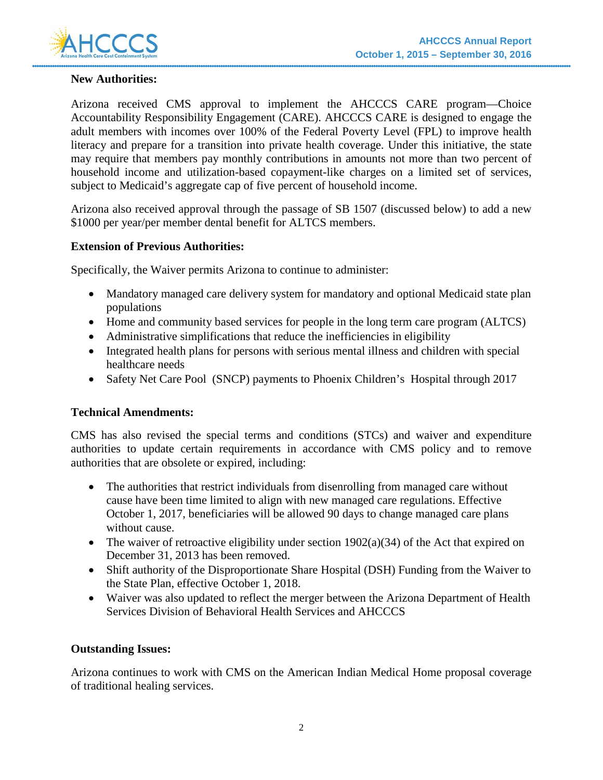

### **New Authorities:**

Arizona received CMS approval to implement the AHCCCS CARE program—Choice Accountability Responsibility Engagement (CARE). AHCCCS CARE is designed to engage the adult members with incomes over 100% of the Federal Poverty Level (FPL) to improve health literacy and prepare for a transition into private health coverage. Under this initiative, the state may require that members pay monthly contributions in amounts not more than two percent of household income and utilization-based copayment-like charges on a limited set of services, subject to Medicaid's aggregate cap of five percent of household income.

Arizona also received approval through the passage of SB 1507 (discussed below) to add a new \$1000 per year/per member dental benefit for ALTCS members.

### **Extension of Previous Authorities:**

Specifically, the Waiver permits Arizona to continue to administer:

- Mandatory managed care delivery system for mandatory and optional Medicaid state plan populations
- Home and community based services for people in the long term care program (ALTCS)
- Administrative simplifications that reduce the inefficiencies in eligibility
- Integrated health plans for persons with serious mental illness and children with special healthcare needs
- Safety Net Care Pool (SNCP) payments to Phoenix Children's Hospital through 2017

### **Technical Amendments:**

CMS has also revised the special terms and conditions (STCs) and waiver and expenditure authorities to update certain requirements in accordance with CMS policy and to remove authorities that are obsolete or expired, including:

- The authorities that restrict individuals from disenrolling from managed care without cause have been time limited to align with new managed care regulations. Effective October 1, 2017, beneficiaries will be allowed 90 days to change managed care plans without cause.
- The waiver of retroactive eligibility under section  $1902(a)(34)$  of the Act that expired on December 31, 2013 has been removed.
- Shift authority of the Disproportionate Share Hospital (DSH) Funding from the Waiver to the State Plan, effective October 1, 2018.
- Waiver was also updated to reflect the merger between the Arizona Department of Health Services Division of Behavioral Health Services and AHCCCS

### **Outstanding Issues:**

Arizona continues to work with CMS on the American Indian Medical Home proposal coverage of traditional healing services.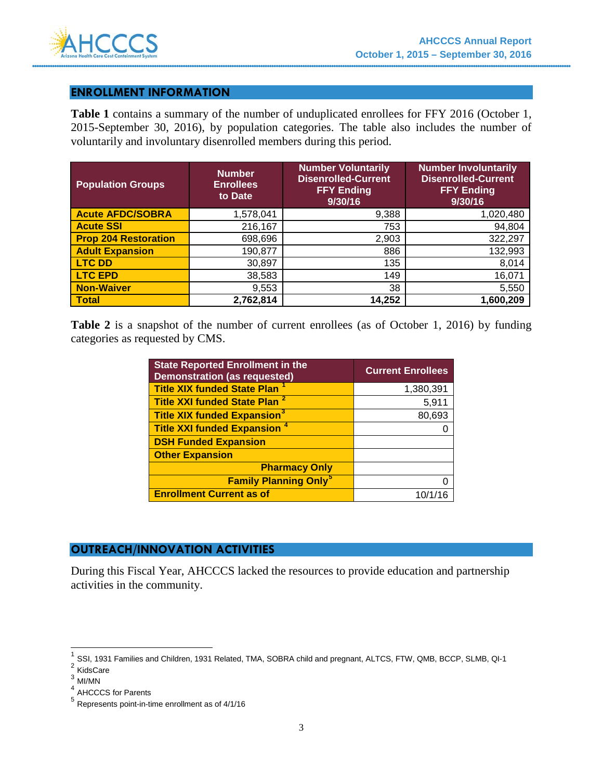

### **ENROLLMENT INFORMATION**

**Table 1** contains a summary of the number of unduplicated enrollees for FFY 2016 (October 1, 2015-September 30, 2016), by population categories. The table also includes the number of voluntarily and involuntary disenrolled members during this period.

| <b>Population Groups</b>    | <b>Number</b><br><b>Enrollees</b><br>to Date | <b>Number Voluntarily</b><br><b>Disenrolled-Current</b><br><b>FFY Ending</b><br>9/30/16 | <b>Number Involuntarily</b><br><b>Disenrolled-Current</b><br><b>FFY Ending</b><br>9/30/16 |
|-----------------------------|----------------------------------------------|-----------------------------------------------------------------------------------------|-------------------------------------------------------------------------------------------|
| <b>Acute AFDC/SOBRA</b>     | 1,578,041                                    | 9,388                                                                                   | 1,020,480                                                                                 |
| <b>Acute SSI</b>            | 216,167                                      | 753                                                                                     | 94,804                                                                                    |
| <b>Prop 204 Restoration</b> | 698,696                                      | 2,903                                                                                   | 322,297                                                                                   |
| <b>Adult Expansion</b>      | 190,877                                      | 886                                                                                     | 132,993                                                                                   |
| <b>LTC DD</b>               | 30,897                                       | 135                                                                                     | 8,014                                                                                     |
| <b>LTC EPD</b>              | 38,583                                       | 149                                                                                     | 16,071                                                                                    |
| <b>Non-Waiver</b>           | 9,553                                        | 38                                                                                      | 5,550                                                                                     |
| <b>Total</b>                | 2,762,814                                    | 14,252                                                                                  | 1,600,209                                                                                 |

Table 2 is a snapshot of the number of current enrollees (as of October 1, 2016) by funding categories as requested by CMS.

| <b>State Reported Enrollment in the</b><br><b>Demonstration (as requested)</b> | <b>Current Enrollees</b> |
|--------------------------------------------------------------------------------|--------------------------|
| <b>Title XIX funded State Plan</b>                                             | 1,380,391                |
| Title XXI funded State Plan <sup>2</sup>                                       | 5,911                    |
| <b>Title XIX funded Expansion<sup>3</sup></b>                                  | 80,693                   |
| <b>Title XXI funded Expansion 4</b>                                            |                          |
| <b>DSH Funded Expansion</b>                                                    |                          |
| <b>Other Expansion</b>                                                         |                          |
| <b>Pharmacy Only</b>                                                           |                          |
| <b>Family Planning Only<sup>5</sup></b>                                        |                          |
| <b>Enrollment Current as of</b>                                                | 10/1/16                  |

### **OUTREACH/INNOVATION ACTIVITIES**

During this Fiscal Year, AHCCCS lacked the resources to provide education and partnership activities in the community.

<sup>1</sup> SSI, 1931 Families and Children, 1931 Related, TMA, SOBRA child and pregnant, ALTCS, FTW, QMB, BCCP, SLMB, QI-1

<span id="page-2-1"></span><span id="page-2-0"></span><sup>&</sup>lt;sup>2</sup> KidsCare

<span id="page-2-2"></span> $^3$  MI/MN

<span id="page-2-3"></span><sup>4</sup> AHCCCS for Parents

<span id="page-2-4"></span><sup>5</sup> Represents point-in-time enrollment as of 4/1/16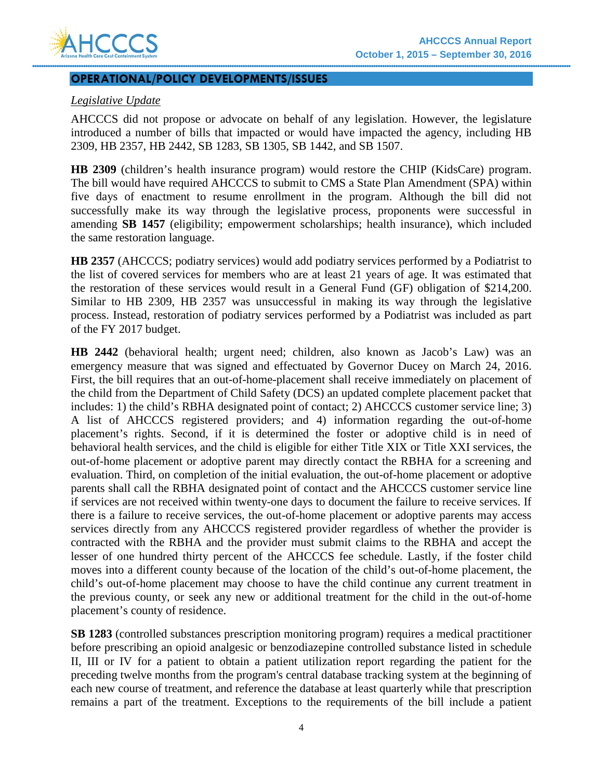

#### **OPERATIONAL/POLICY DEVELOPMENTS/ISSUES**

### *Legislative Update*

AHCCCS did not propose or advocate on behalf of any legislation. However, the legislature introduced a number of bills that impacted or would have impacted the agency, including HB 2309, HB 2357, HB 2442, SB 1283, SB 1305, SB 1442, and SB 1507.

**HB 2309** (children's health insurance program) would restore the CHIP (KidsCare) program. The bill would have required AHCCCS to submit to CMS a State Plan Amendment (SPA) within five days of enactment to resume enrollment in the program. Although the bill did not successfully make its way through the legislative process, proponents were successful in amending **SB 1457** (eligibility; empowerment scholarships; health insurance), which included the same restoration language.

**HB 2357** (AHCCCS; podiatry services) would add podiatry services performed by a Podiatrist to the list of covered services for members who are at least 21 years of age. It was estimated that the restoration of these services would result in a General Fund (GF) obligation of \$214,200. Similar to HB 2309, HB 2357 was unsuccessful in making its way through the legislative process. Instead, restoration of podiatry services performed by a Podiatrist was included as part of the FY 2017 budget.

**HB 2442** (behavioral health; urgent need; children, also known as Jacob's Law) was an emergency measure that was signed and effectuated by Governor Ducey on March 24, 2016. First, the bill requires that an out-of-home-placement shall receive immediately on placement of the child from the Department of Child Safety (DCS) an updated complete placement packet that includes: 1) the child's RBHA designated point of contact; 2) AHCCCS customer service line; 3) A list of AHCCCS registered providers; and 4) information regarding the out-of-home placement's rights. Second, if it is determined the foster or adoptive child is in need of behavioral health services, and the child is eligible for either Title XIX or Title XXI services, the out-of-home placement or adoptive parent may directly contact the RBHA for a screening and evaluation. Third, on completion of the initial evaluation, the out-of-home placement or adoptive parents shall call the RBHA designated point of contact and the AHCCCS customer service line if services are not received within twenty-one days to document the failure to receive services. If there is a failure to receive services, the out-of-home placement or adoptive parents may access services directly from any AHCCCS registered provider regardless of whether the provider is contracted with the RBHA and the provider must submit claims to the RBHA and accept the lesser of one hundred thirty percent of the AHCCCS fee schedule. Lastly, if the foster child moves into a different county because of the location of the child's out-of-home placement, the child's out-of-home placement may choose to have the child continue any current treatment in the previous county, or seek any new or additional treatment for the child in the out-of-home placement's county of residence.

**SB 1283** (controlled substances prescription monitoring program) requires a medical practitioner before prescribing an opioid analgesic or benzodiazepine controlled substance listed in schedule II, III or IV for a patient to obtain a patient utilization report regarding the patient for the preceding twelve months from the program's central database tracking system at the beginning of each new course of treatment, and reference the database at least quarterly while that prescription remains a part of the treatment. Exceptions to the requirements of the bill include a patient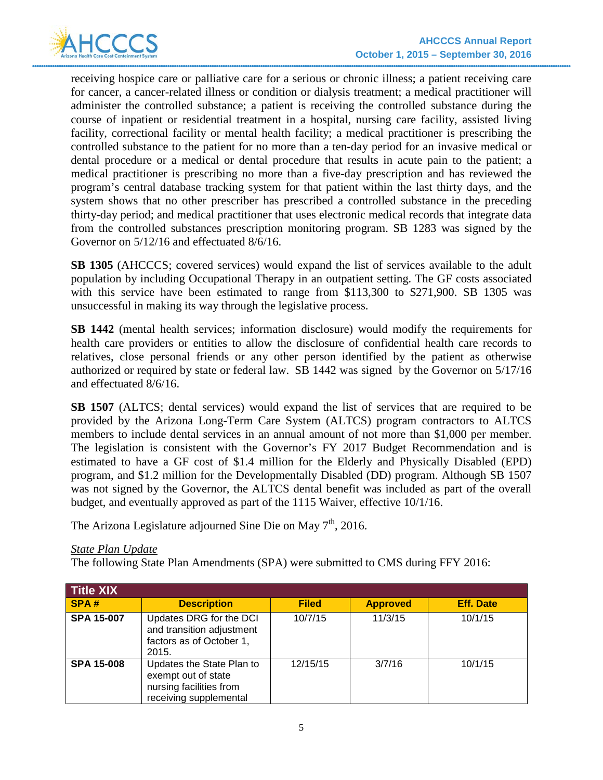

receiving hospice care or palliative care for a serious or chronic illness; a patient receiving care for cancer, a cancer-related illness or condition or dialysis treatment; a medical practitioner will administer the controlled substance; a patient is receiving the controlled substance during the course of inpatient or residential treatment in a hospital, nursing care facility, assisted living facility, correctional facility or mental health facility; a medical practitioner is prescribing the controlled substance to the patient for no more than a ten-day period for an invasive medical or dental procedure or a medical or dental procedure that results in acute pain to the patient; a medical practitioner is prescribing no more than a five-day prescription and has reviewed the program's central database tracking system for that patient within the last thirty days, and the system shows that no other prescriber has prescribed a controlled substance in the preceding thirty-day period; and medical practitioner that uses electronic medical records that integrate data from the controlled substances prescription monitoring program. SB 1283 was signed by the Governor on 5/12/16 and effectuated 8/6/16.

**SB 1305** (AHCCCS; covered services) would expand the list of services available to the adult population by including Occupational Therapy in an outpatient setting. The GF costs associated with this service have been estimated to range from \$113,300 to \$271,900. SB 1305 was unsuccessful in making its way through the legislative process.

**SB 1442** (mental health services; information disclosure) would modify the requirements for health care providers or entities to allow the disclosure of confidential health care records to relatives, close personal friends or any other person identified by the patient as otherwise authorized or required by state or federal law. SB 1442 was signed by the Governor on 5/17/16 and effectuated 8/6/16.

**SB 1507** (ALTCS; dental services) would expand the list of services that are required to be provided by the Arizona Long-Term Care System (ALTCS) program contractors to ALTCS members to include dental services in an annual amount of not more than \$1,000 per member. The legislation is consistent with the Governor's FY 2017 Budget Recommendation and is estimated to have a GF cost of \$1.4 million for the Elderly and Physically Disabled (EPD) program, and \$1.2 million for the Developmentally Disabled (DD) program. Although SB 1507 was not signed by the Governor, the ALTCS dental benefit was included as part of the overall budget, and eventually approved as part of the 1115 Waiver, effective 10/1/16.

The Arizona Legislature adjourned Sine Die on May  $7<sup>th</sup>$ , 2016.

### *State Plan Update*

The following State Plan Amendments (SPA) were submitted to CMS during FFY 2016:

| <b>Title XIX</b>  |                                                                                                       |              |                 |                  |
|-------------------|-------------------------------------------------------------------------------------------------------|--------------|-----------------|------------------|
| SPA#              | <b>Description</b>                                                                                    | <b>Filed</b> | <b>Approved</b> | <b>Eff. Date</b> |
| <b>SPA 15-007</b> | Updates DRG for the DCI<br>and transition adjustment<br>factors as of October 1,<br>2015.             | 10/7/15      | 11/3/15         | 10/1/15          |
| <b>SPA 15-008</b> | Updates the State Plan to<br>exempt out of state<br>nursing facilities from<br>receiving supplemental | 12/15/15     | 3/7/16          | 10/1/15          |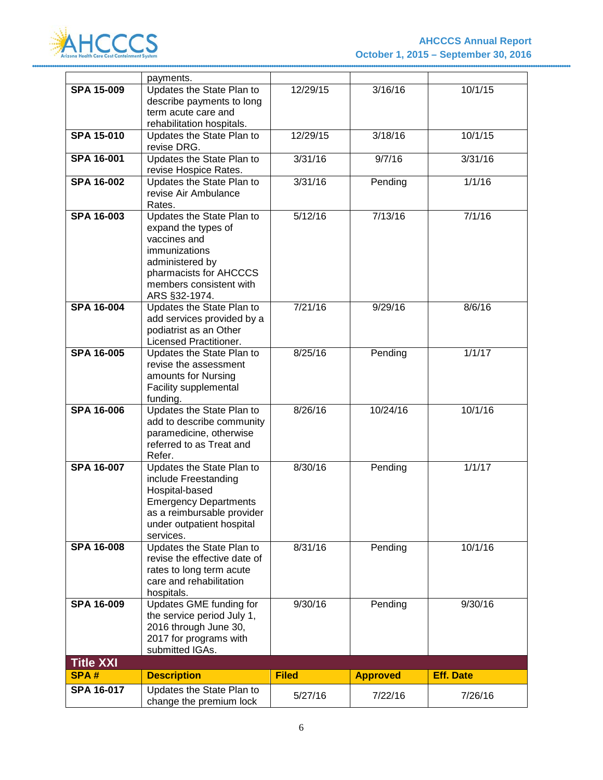

|                   | payments.                                                                                                                                                                   |              |                 |                  |
|-------------------|-----------------------------------------------------------------------------------------------------------------------------------------------------------------------------|--------------|-----------------|------------------|
| <b>SPA 15-009</b> | Updates the State Plan to<br>describe payments to long<br>term acute care and<br>rehabilitation hospitals.                                                                  | 12/29/15     | 3/16/16         | 10/1/15          |
| <b>SPA 15-010</b> | Updates the State Plan to<br>revise DRG.                                                                                                                                    | 12/29/15     | 3/18/16         | 10/1/15          |
| <b>SPA 16-001</b> | Updates the State Plan to<br>revise Hospice Rates.                                                                                                                          | 3/31/16      | 9/7/16          | 3/31/16          |
| <b>SPA 16-002</b> | Updates the State Plan to<br>revise Air Ambulance<br>Rates.                                                                                                                 | 3/31/16      | Pending         | 1/1/16           |
| <b>SPA 16-003</b> | Updates the State Plan to<br>expand the types of<br>vaccines and<br>immunizations<br>administered by<br>pharmacists for AHCCCS<br>members consistent with<br>ARS §32-1974.  | 5/12/16      | 7/13/16         | 7/1/16           |
| <b>SPA 16-004</b> | Updates the State Plan to<br>add services provided by a<br>podiatrist as an Other<br>Licensed Practitioner.                                                                 | 7/21/16      | 9/29/16         | 8/6/16           |
| <b>SPA 16-005</b> | Updates the State Plan to<br>revise the assessment<br>amounts for Nursing<br>Facility supplemental<br>funding.                                                              | 8/25/16      | Pending         | 1/1/17           |
| <b>SPA 16-006</b> | Updates the State Plan to<br>add to describe community<br>paramedicine, otherwise<br>referred to as Treat and<br>Refer.                                                     | 8/26/16      | 10/24/16        | 10/1/16          |
| <b>SPA 16-007</b> | Updates the State Plan to<br>include Freestanding<br>Hospital-based<br><b>Emergency Departments</b><br>as a reimbursable provider<br>under outpatient hospital<br>services. | 8/30/16      | Pending         | 1/1/17           |
| <b>SPA 16-008</b> | Updates the State Plan to<br>revise the effective date of<br>rates to long term acute<br>care and rehabilitation<br>hospitals.                                              | 8/31/16      | Pending         | 10/1/16          |
| <b>SPA 16-009</b> | Updates GME funding for<br>the service period July 1,<br>2016 through June 30,<br>2017 for programs with<br>submitted IGAs.                                                 | 9/30/16      | Pending         | 9/30/16          |
| <b>Title XXI</b>  |                                                                                                                                                                             |              |                 |                  |
| <b>SPA#</b>       | <b>Description</b>                                                                                                                                                          | <b>Filed</b> | <b>Approved</b> | <b>Eff. Date</b> |
| <b>SPA 16-017</b> | Updates the State Plan to<br>change the premium lock                                                                                                                        | 5/27/16      | 7/22/16         | 7/26/16          |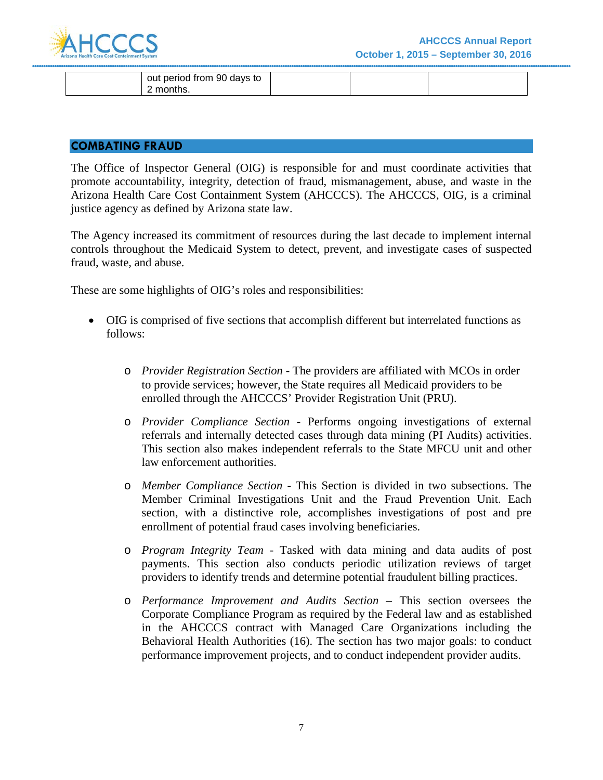

| out period from 90 days to |  |  |
|----------------------------|--|--|
| omonths. י                 |  |  |

#### **COMBATING FRAUD**

The Office of Inspector General (OIG) is responsible for and must coordinate activities that promote accountability, integrity, detection of fraud, mismanagement, abuse, and waste in the Arizona Health Care Cost Containment System (AHCCCS). The AHCCCS, OIG, is a criminal justice agency as defined by Arizona state law.

The Agency increased its commitment of resources during the last decade to implement internal controls throughout the Medicaid System to detect, prevent, and investigate cases of suspected fraud, waste, and abuse.

These are some highlights of OIG's roles and responsibilities:

- OIG is comprised of five sections that accomplish different but interrelated functions as follows:
	- o *Provider Registration Section*  The providers are affiliated with MCOs in order to provide services; however, the State requires all Medicaid providers to be enrolled through the AHCCCS' Provider Registration Unit (PRU).
	- o *Provider Compliance Section*  Performs ongoing investigations of external referrals and internally detected cases through data mining (PI Audits) activities. This section also makes independent referrals to the State MFCU unit and other law enforcement authorities.
	- o *Member Compliance Section*  This Section is divided in two subsections. The Member Criminal Investigations Unit and the Fraud Prevention Unit. Each section, with a distinctive role, accomplishes investigations of post and pre enrollment of potential fraud cases involving beneficiaries.
	- o *Program Integrity Team*  Tasked with data mining and data audits of post payments. This section also conducts periodic utilization reviews of target providers to identify trends and determine potential fraudulent billing practices.
	- o *Performance Improvement and Audits Section* This section oversees the Corporate Compliance Program as required by the Federal law and as established in the AHCCCS contract with Managed Care Organizations including the Behavioral Health Authorities (16). The section has two major goals: to conduct performance improvement projects, and to conduct independent provider audits.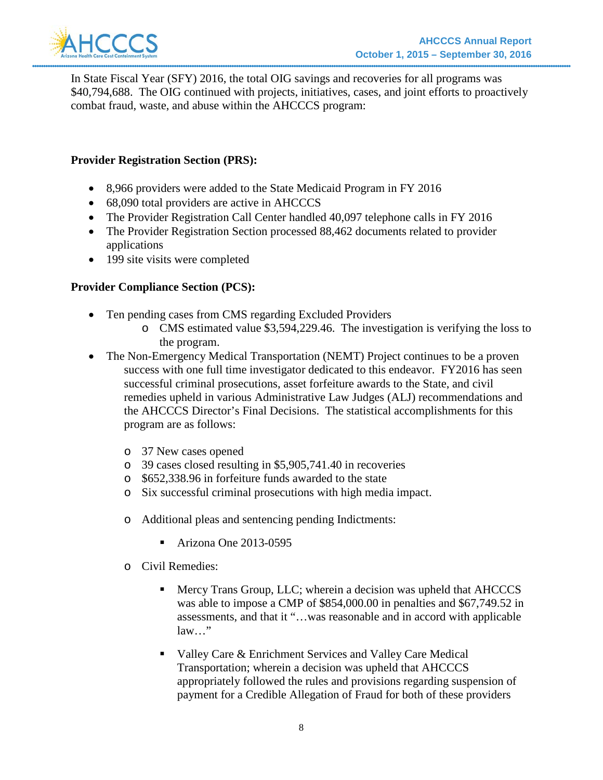

In State Fiscal Year (SFY) 2016, the total OIG savings and recoveries for all programs was \$40,794,688. The OIG continued with projects, initiatives, cases, and joint efforts to proactively combat fraud, waste, and abuse within the AHCCCS program:

### **Provider Registration Section (PRS):**

- 8,966 providers were added to the State Medicaid Program in FY 2016
- 68,090 total providers are active in AHCCCS
- The Provider Registration Call Center handled 40,097 telephone calls in FY 2016
- The Provider Registration Section processed 88,462 documents related to provider applications
- 199 site visits were completed

### **Provider Compliance Section (PCS):**

- Ten pending cases from CMS regarding Excluded Providers
	- o CMS estimated value \$3,594,229.46. The investigation is verifying the loss to the program.
- The Non-Emergency Medical Transportation (NEMT) Project continues to be a proven success with one full time investigator dedicated to this endeavor. FY2016 has seen successful criminal prosecutions, asset forfeiture awards to the State, and civil remedies upheld in various Administrative Law Judges (ALJ) recommendations and the AHCCCS Director's Final Decisions. The statistical accomplishments for this program are as follows:
	- o 37 New cases opened
	- o 39 cases closed resulting in \$5,905,741.40 in recoveries
	- o \$652,338.96 in forfeiture funds awarded to the state
	- o Six successful criminal prosecutions with high media impact.
	- o Additional pleas and sentencing pending Indictments:
		- Arizona One 2013-0595
	- o Civil Remedies:
		- **Mercy Trans Group, LLC; wherein a decision was upheld that AHCCCS** was able to impose a CMP of \$854,000.00 in penalties and \$67,749.52 in assessments, and that it "…was reasonable and in accord with applicable law…"
		- Valley Care & Enrichment Services and Valley Care Medical Transportation; wherein a decision was upheld that AHCCCS appropriately followed the rules and provisions regarding suspension of payment for a Credible Allegation of Fraud for both of these providers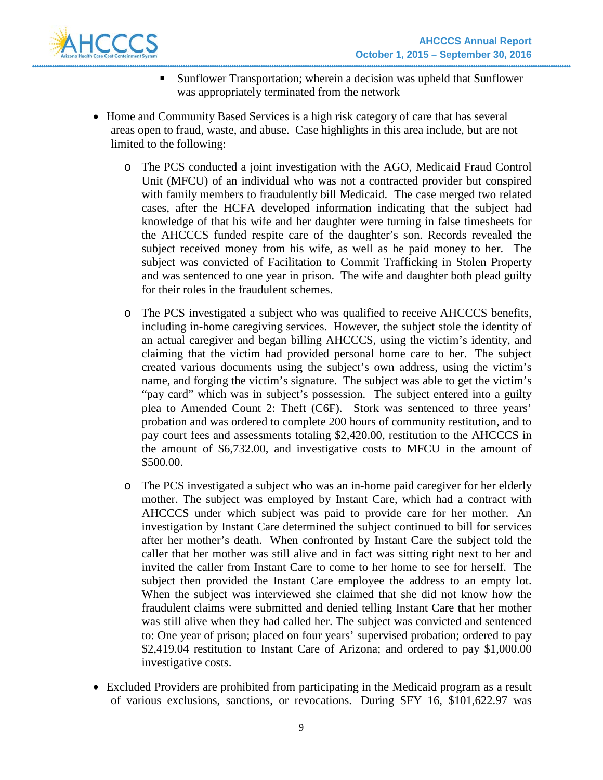

- Sunflower Transportation; wherein a decision was upheld that Sunflower was appropriately terminated from the network
- Home and Community Based Services is a high risk category of care that has several areas open to fraud, waste, and abuse. Case highlights in this area include, but are not limited to the following:
	- o The PCS conducted a joint investigation with the AGO, Medicaid Fraud Control Unit (MFCU) of an individual who was not a contracted provider but conspired with family members to fraudulently bill Medicaid. The case merged two related cases, after the HCFA developed information indicating that the subject had knowledge of that his wife and her daughter were turning in false timesheets for the AHCCCS funded respite care of the daughter's son. Records revealed the subject received money from his wife, as well as he paid money to her. The subject was convicted of Facilitation to Commit Trafficking in Stolen Property and was sentenced to one year in prison. The wife and daughter both plead guilty for their roles in the fraudulent schemes.
	- o The PCS investigated a subject who was qualified to receive AHCCCS benefits, including in-home caregiving services. However, the subject stole the identity of an actual caregiver and began billing AHCCCS, using the victim's identity, and claiming that the victim had provided personal home care to her. The subject created various documents using the subject's own address, using the victim's name, and forging the victim's signature. The subject was able to get the victim's "pay card" which was in subject's possession. The subject entered into a guilty plea to Amended Count 2: Theft (C6F). Stork was sentenced to three years' probation and was ordered to complete 200 hours of community restitution, and to pay court fees and assessments totaling \$2,420.00, restitution to the AHCCCS in the amount of \$6,732.00, and investigative costs to MFCU in the amount of \$500.00.
	- o The PCS investigated a subject who was an in-home paid caregiver for her elderly mother. The subject was employed by Instant Care, which had a contract with AHCCCS under which subject was paid to provide care for her mother. An investigation by Instant Care determined the subject continued to bill for services after her mother's death. When confronted by Instant Care the subject told the caller that her mother was still alive and in fact was sitting right next to her and invited the caller from Instant Care to come to her home to see for herself. The subject then provided the Instant Care employee the address to an empty lot. When the subject was interviewed she claimed that she did not know how the fraudulent claims were submitted and denied telling Instant Care that her mother was still alive when they had called her. The subject was convicted and sentenced to: One year of prison; placed on four years' supervised probation; ordered to pay \$2,419.04 restitution to Instant Care of Arizona; and ordered to pay \$1,000.00 investigative costs.
- Excluded Providers are prohibited from participating in the Medicaid program as a result of various exclusions, sanctions, or revocations. During SFY 16, \$101,622.97 was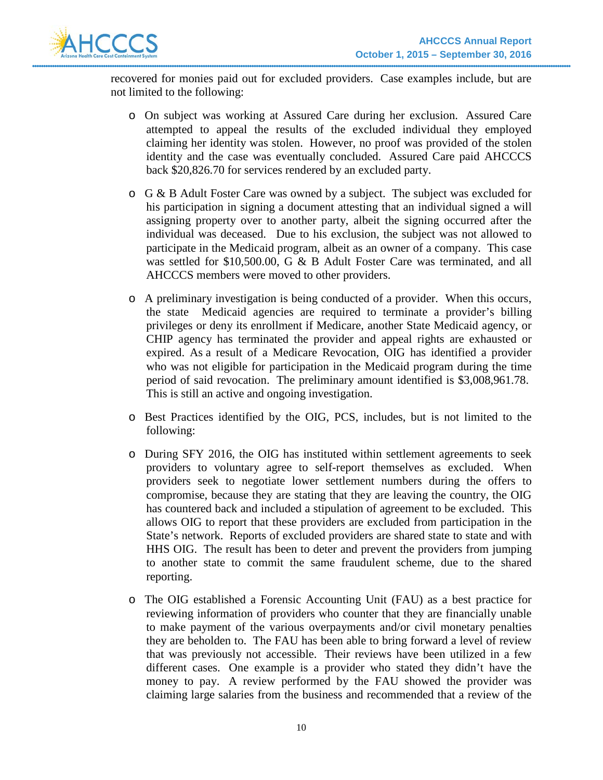

recovered for monies paid out for excluded providers. Case examples include, but are not limited to the following:

- o On subject was working at Assured Care during her exclusion. Assured Care attempted to appeal the results of the excluded individual they employed claiming her identity was stolen. However, no proof was provided of the stolen identity and the case was eventually concluded. Assured Care paid AHCCCS back \$20,826.70 for services rendered by an excluded party.
- o G & B Adult Foster Care was owned by a subject. The subject was excluded for his participation in signing a document attesting that an individual signed a will assigning property over to another party, albeit the signing occurred after the individual was deceased. Due to his exclusion, the subject was not allowed to participate in the Medicaid program, albeit as an owner of a company. This case was settled for \$10,500.00, G & B Adult Foster Care was terminated, and all AHCCCS members were moved to other providers.
- o A preliminary investigation is being conducted of a provider. When this occurs, the state Medicaid agencies are required to terminate a provider's billing privileges or deny its enrollment if Medicare, another State Medicaid agency, or CHIP agency has terminated the provider and appeal rights are exhausted or expired. As a result of a Medicare Revocation, OIG has identified a provider who was not eligible for participation in the Medicaid program during the time period of said revocation. The preliminary amount identified is \$3,008,961.78. This is still an active and ongoing investigation.
- o Best Practices identified by the OIG, PCS, includes, but is not limited to the following:
- o During SFY 2016, the OIG has instituted within settlement agreements to seek providers to voluntary agree to self-report themselves as excluded. When providers seek to negotiate lower settlement numbers during the offers to compromise, because they are stating that they are leaving the country, the OIG has countered back and included a stipulation of agreement to be excluded. This allows OIG to report that these providers are excluded from participation in the State's network. Reports of excluded providers are shared state to state and with HHS OIG. The result has been to deter and prevent the providers from jumping to another state to commit the same fraudulent scheme, due to the shared reporting.
- o The OIG established a Forensic Accounting Unit (FAU) as a best practice for reviewing information of providers who counter that they are financially unable to make payment of the various overpayments and/or civil monetary penalties they are beholden to. The FAU has been able to bring forward a level of review that was previously not accessible. Their reviews have been utilized in a few different cases. One example is a provider who stated they didn't have the money to pay. A review performed by the FAU showed the provider was claiming large salaries from the business and recommended that a review of the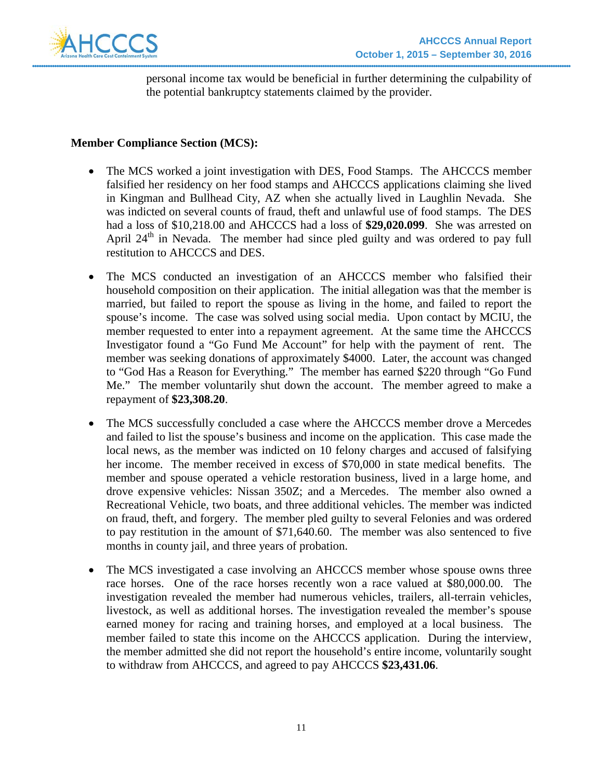

personal income tax would be beneficial in further determining the culpability of the potential bankruptcy statements claimed by the provider.

### **Member Compliance Section (MCS):**

- The MCS worked a joint investigation with DES, Food Stamps. The AHCCCS member falsified her residency on her food stamps and AHCCCS applications claiming she lived in Kingman and Bullhead City, AZ when she actually lived in Laughlin Nevada. She was indicted on several counts of fraud, theft and unlawful use of food stamps. The DES had a loss of \$10,218.00 and AHCCCS had a loss of **\$29,020.099**. She was arrested on April  $24<sup>th</sup>$  in Nevada. The member had since pled guilty and was ordered to pay full restitution to AHCCCS and DES.
- The MCS conducted an investigation of an AHCCCS member who falsified their household composition on their application. The initial allegation was that the member is married, but failed to report the spouse as living in the home, and failed to report the spouse's income. The case was solved using social media. Upon contact by MCIU, the member requested to enter into a repayment agreement. At the same time the AHCCCS Investigator found a "Go Fund Me Account" for help with the payment of rent. The member was seeking donations of approximately \$4000. Later, the account was changed to "God Has a Reason for Everything." The member has earned \$220 through "Go Fund Me." The member voluntarily shut down the account. The member agreed to make a repayment of **\$23,308.20**.
- The MCS successfully concluded a case where the AHCCCS member drove a Mercedes and failed to list the spouse's business and income on the application. This case made the local news, as the member was indicted on 10 felony charges and accused of falsifying her income. The member received in excess of \$70,000 in state medical benefits. The member and spouse operated a vehicle restoration business, lived in a large home, and drove expensive vehicles: Nissan 350Z; and a Mercedes. The member also owned a Recreational Vehicle, two boats, and three additional vehicles. The member was indicted on fraud, theft, and forgery. The member pled guilty to several Felonies and was ordered to pay restitution in the amount of \$71,640.60. The member was also sentenced to five months in county jail, and three years of probation.
- The MCS investigated a case involving an AHCCCS member whose spouse owns three race horses. One of the race horses recently won a race valued at \$80,000.00. The investigation revealed the member had numerous vehicles, trailers, all-terrain vehicles, livestock, as well as additional horses. The investigation revealed the member's spouse earned money for racing and training horses, and employed at a local business. The member failed to state this income on the AHCCCS application. During the interview, the member admitted she did not report the household's entire income, voluntarily sought to withdraw from AHCCCS, and agreed to pay AHCCCS **\$23,431.06**.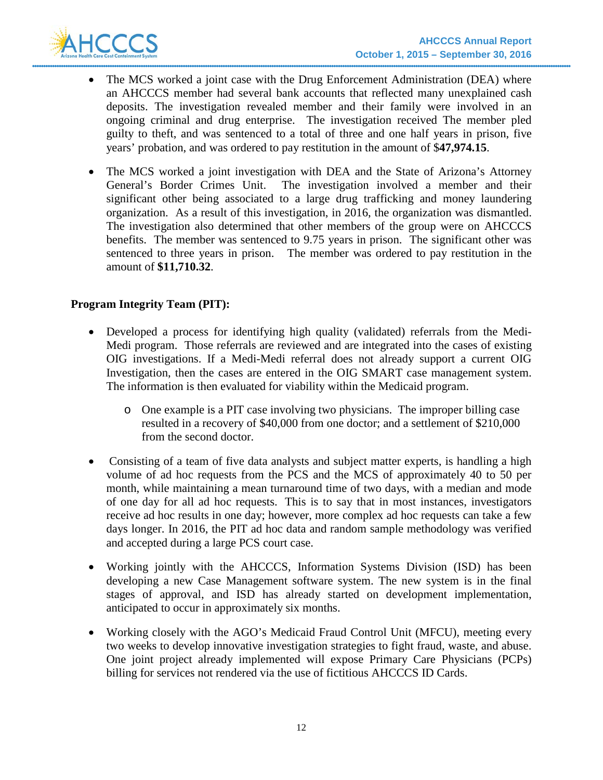

- The MCS worked a joint case with the Drug Enforcement Administration (DEA) where an AHCCCS member had several bank accounts that reflected many unexplained cash deposits. The investigation revealed member and their family were involved in an ongoing criminal and drug enterprise. The investigation received The member pled guilty to theft, and was sentenced to a total of three and one half years in prison, five years' probation, and was ordered to pay restitution in the amount of \$**47,974.15**.
- The MCS worked a joint investigation with DEA and the State of Arizona's Attorney General's Border Crimes Unit. The investigation involved a member and their significant other being associated to a large drug trafficking and money laundering organization. As a result of this investigation, in 2016, the organization was dismantled. The investigation also determined that other members of the group were on AHCCCS benefits. The member was sentenced to 9.75 years in prison. The significant other was sentenced to three years in prison. The member was ordered to pay restitution in the amount of **\$11,710.32**.

### **Program Integrity Team (PIT):**

- Developed a process for identifying high quality (validated) referrals from the Medi-Medi program. Those referrals are reviewed and are integrated into the cases of existing OIG investigations. If a Medi-Medi referral does not already support a current OIG Investigation, then the cases are entered in the OIG SMART case management system. The information is then evaluated for viability within the Medicaid program.
	- o One example is a PIT case involving two physicians. The improper billing case resulted in a recovery of \$40,000 from one doctor; and a settlement of \$210,000 from the second doctor.
- Consisting of a team of five data analysts and subject matter experts, is handling a high volume of ad hoc requests from the PCS and the MCS of approximately 40 to 50 per month, while maintaining a mean turnaround time of two days, with a median and mode of one day for all ad hoc requests. This is to say that in most instances, investigators receive ad hoc results in one day; however, more complex ad hoc requests can take a few days longer. In 2016, the PIT ad hoc data and random sample methodology was verified and accepted during a large PCS court case.
- Working jointly with the AHCCCS, Information Systems Division (ISD) has been developing a new Case Management software system. The new system is in the final stages of approval, and ISD has already started on development implementation, anticipated to occur in approximately six months.
- Working closely with the AGO's Medicaid Fraud Control Unit (MFCU), meeting every two weeks to develop innovative investigation strategies to fight fraud, waste, and abuse. One joint project already implemented will expose Primary Care Physicians (PCPs) billing for services not rendered via the use of fictitious AHCCCS ID Cards.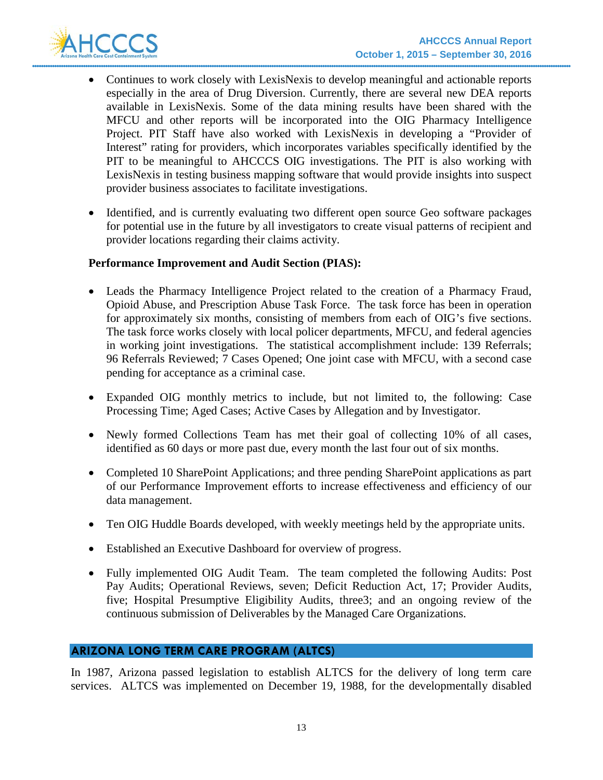

- Continues to work closely with LexisNexis to develop meaningful and actionable reports especially in the area of Drug Diversion. Currently, there are several new DEA reports available in LexisNexis. Some of the data mining results have been shared with the MFCU and other reports will be incorporated into the OIG Pharmacy Intelligence Project. PIT Staff have also worked with LexisNexis in developing a "Provider of Interest" rating for providers, which incorporates variables specifically identified by the PIT to be meaningful to AHCCCS OIG investigations. The PIT is also working with LexisNexis in testing business mapping software that would provide insights into suspect provider business associates to facilitate investigations.
- Identified, and is currently evaluating two different open source Geo software packages for potential use in the future by all investigators to create visual patterns of recipient and provider locations regarding their claims activity.

### **Performance Improvement and Audit Section (PIAS):**

- Leads the Pharmacy Intelligence Project related to the creation of a Pharmacy Fraud, Opioid Abuse, and Prescription Abuse Task Force. The task force has been in operation for approximately six months, consisting of members from each of OIG's five sections. The task force works closely with local policer departments, MFCU, and federal agencies in working joint investigations. The statistical accomplishment include: 139 Referrals; 96 Referrals Reviewed; 7 Cases Opened; One joint case with MFCU, with a second case pending for acceptance as a criminal case.
- Expanded OIG monthly metrics to include, but not limited to, the following: Case Processing Time; Aged Cases; Active Cases by Allegation and by Investigator.
- Newly formed Collections Team has met their goal of collecting 10% of all cases, identified as 60 days or more past due, every month the last four out of six months.
- Completed 10 SharePoint Applications; and three pending SharePoint applications as part of our Performance Improvement efforts to increase effectiveness and efficiency of our data management.
- Ten OIG Huddle Boards developed, with weekly meetings held by the appropriate units.
- Established an Executive Dashboard for overview of progress.
- Fully implemented OIG Audit Team. The team completed the following Audits: Post Pay Audits; Operational Reviews, seven; Deficit Reduction Act, 17; Provider Audits, five; Hospital Presumptive Eligibility Audits, three3; and an ongoing review of the continuous submission of Deliverables by the Managed Care Organizations.

### **ARIZONA LONG TERM CARE PROGRAM (ALTCS)**

In 1987, Arizona passed legislation to establish ALTCS for the delivery of long term care services. ALTCS was implemented on December 19, 1988, for the developmentally disabled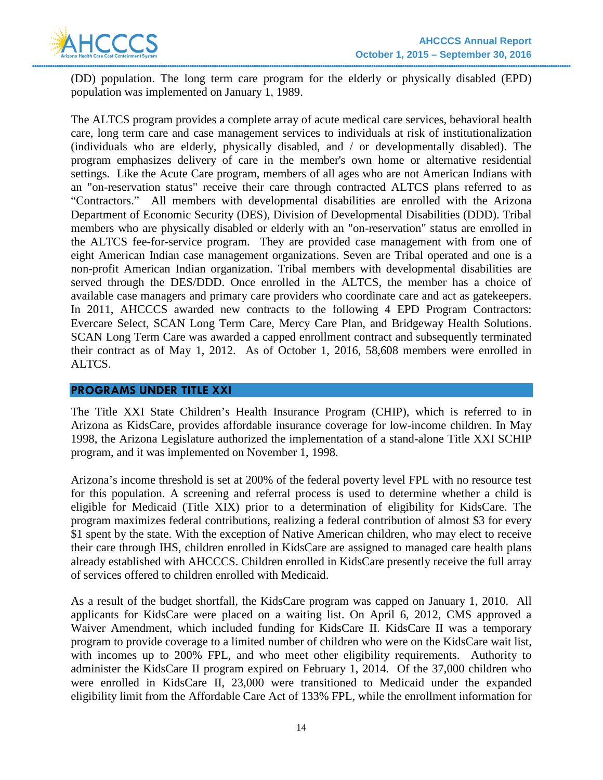

(DD) population. The long term care program for the elderly or physically disabled (EPD) population was implemented on January 1, 1989.

The ALTCS program provides a complete array of acute medical care services, behavioral health care, long term care and case management services to individuals at risk of institutionalization (individuals who are elderly, physically disabled, and / or developmentally disabled). The program emphasizes delivery of care in the member's own home or alternative residential settings. Like the Acute Care program, members of all ages who are not American Indians with an "on-reservation status" receive their care through contracted ALTCS plans referred to as "Contractors." All members with developmental disabilities are enrolled with the Arizona Department of Economic Security (DES), Division of Developmental Disabilities (DDD). Tribal members who are physically disabled or elderly with an "on-reservation" status are enrolled in the ALTCS fee-for-service program. They are provided case management with from one of eight American Indian case management organizations. Seven are Tribal operated and one is a non-profit American Indian organization. Tribal members with developmental disabilities are served through the DES/DDD. Once enrolled in the ALTCS, the member has a choice of available case managers and primary care providers who coordinate care and act as gatekeepers. In 2011, AHCCCS awarded new contracts to the following 4 EPD Program Contractors: Evercare Select, SCAN Long Term Care, Mercy Care Plan, and Bridgeway Health Solutions. SCAN Long Term Care was awarded a capped enrollment contract and subsequently terminated their contract as of May 1, 2012. As of October 1, 2016, 58,608 members were enrolled in ALTCS.

#### **PROGRAMS UNDER TITLE XXI**

The Title XXI State Children's Health Insurance Program (CHIP), which is referred to in Arizona as KidsCare, provides affordable insurance coverage for low-income children. In May 1998, the Arizona Legislature authorized the implementation of a stand-alone Title XXI SCHIP program, and it was implemented on November 1, 1998.

Arizona's income threshold is set at 200% of the federal poverty level FPL with no resource test for this population. A screening and referral process is used to determine whether a child is eligible for Medicaid (Title XIX) prior to a determination of eligibility for KidsCare. The program maximizes federal contributions, realizing a federal contribution of almost \$3 for every \$1 spent by the state. With the exception of Native American children, who may elect to receive their care through IHS, children enrolled in KidsCare are assigned to managed care health plans already established with AHCCCS. Children enrolled in KidsCare presently receive the full array of services offered to children enrolled with Medicaid.

As a result of the budget shortfall, the KidsCare program was capped on January 1, 2010. All applicants for KidsCare were placed on a waiting list. On April 6, 2012, CMS approved a Waiver Amendment, which included funding for KidsCare II. KidsCare II was a temporary program to provide coverage to a limited number of children who were on the KidsCare wait list, with incomes up to 200% FPL, and who meet other eligibility requirements. Authority to administer the KidsCare II program expired on February 1, 2014. Of the 37,000 children who were enrolled in KidsCare II, 23,000 were transitioned to Medicaid under the expanded eligibility limit from the Affordable Care Act of 133% FPL, while the enrollment information for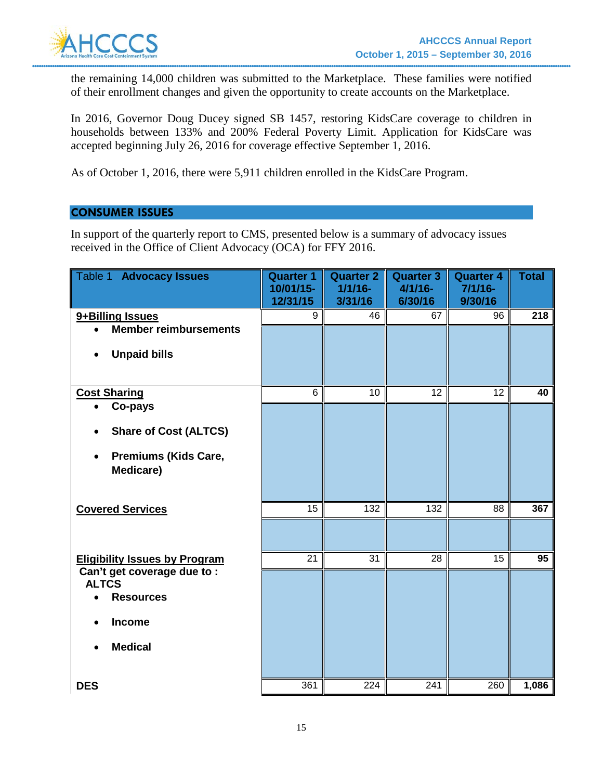

the remaining 14,000 children was submitted to the Marketplace. These families were notified of their enrollment changes and given the opportunity to create accounts on the Marketplace.

In 2016, Governor Doug Ducey signed SB 1457, restoring KidsCare coverage to children in households between 133% and 200% Federal Poverty Limit. Application for KidsCare was accepted beginning July 26, 2016 for coverage effective September 1, 2016.

As of October 1, 2016, there were 5,911 children enrolled in the KidsCare Program.

## **CONSUMER ISSUES**

In support of the quarterly report to CMS, presented below is a summary of advocacy issues received in the Office of Client Advocacy (OCA) for FFY 2016.

| Table 1<br><b>Advocacy Issues</b>                                            | <b>Quarter 1</b><br>10/01/15-<br>12/31/15 | <b>Quarter 2</b><br>$1/1/16$ -<br>3/31/16 | <b>Quarter 3</b><br>$4/1/16 -$<br>6/30/16 | <b>Quarter 4</b><br>$7/1/16 -$<br>9/30/16 | <b>Total</b> |
|------------------------------------------------------------------------------|-------------------------------------------|-------------------------------------------|-------------------------------------------|-------------------------------------------|--------------|
| 9+Billing Issues                                                             | 9                                         | 46                                        | 67                                        | 96                                        | 218          |
| <b>Member reimbursements</b><br>$\bullet$                                    |                                           |                                           |                                           |                                           |              |
| <b>Unpaid bills</b><br>$\bullet$                                             |                                           |                                           |                                           |                                           |              |
| <b>Cost Sharing</b>                                                          | 6                                         | 10                                        | 12                                        | 12                                        | 40           |
| Co-pays                                                                      |                                           |                                           |                                           |                                           |              |
| <b>Share of Cost (ALTCS)</b>                                                 |                                           |                                           |                                           |                                           |              |
| <b>Premiums (Kids Care,</b><br>$\bullet$<br>Medicare)                        |                                           |                                           |                                           |                                           |              |
| <b>Covered Services</b>                                                      | 15                                        | 132                                       | 132                                       | 88                                        | 367          |
|                                                                              |                                           |                                           |                                           |                                           |              |
| <b>Eligibility Issues by Program</b>                                         | 21                                        | 31                                        | 28                                        | 15                                        | 95           |
| Can't get coverage due to :<br><b>ALTCS</b><br><b>Resources</b><br>$\bullet$ |                                           |                                           |                                           |                                           |              |
| <b>Income</b>                                                                |                                           |                                           |                                           |                                           |              |
| <b>Medical</b><br>$\bullet$                                                  |                                           |                                           |                                           |                                           |              |
| <b>DES</b>                                                                   | 361                                       | 224                                       | 241                                       | 260                                       | 1,086        |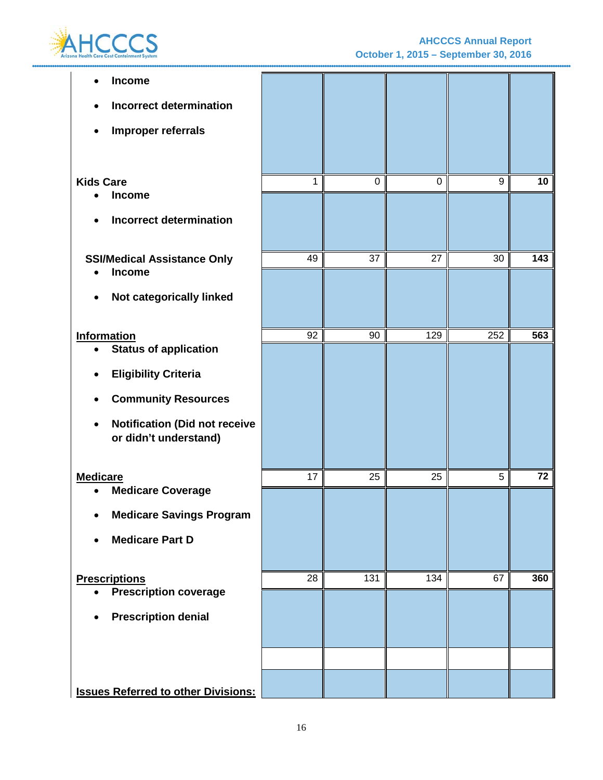

| Income                                                        |    |                  |             |     |                 |
|---------------------------------------------------------------|----|------------------|-------------|-----|-----------------|
| <b>Incorrect determination</b>                                |    |                  |             |     |                 |
| Improper referrals<br>$\bullet$                               |    |                  |             |     |                 |
|                                                               |    |                  |             |     |                 |
| <b>Kids Care</b>                                              | 1  | $\mathbf 0$      | $\mathbf 0$ | 9   | 10 <sub>1</sub> |
| <b>Income</b>                                                 |    |                  |             |     |                 |
| <b>Incorrect determination</b>                                |    |                  |             |     |                 |
| <b>SSI/Medical Assistance Only</b>                            | 49 | 37               | 27          | 30  | 143             |
| Income                                                        |    |                  |             |     |                 |
| Not categorically linked<br>$\bullet$                         |    |                  |             |     |                 |
|                                                               |    | 90               |             | 252 | 563             |
| <b>Information</b><br><b>Status of application</b>            | 92 |                  | 129         |     |                 |
| <b>Eligibility Criteria</b>                                   |    |                  |             |     |                 |
| <b>Community Resources</b>                                    |    |                  |             |     |                 |
| <b>Notification (Did not receive</b><br>or didn't understand) |    |                  |             |     |                 |
| <b>Medicare</b>                                               | 17 | 25               | 25          | 5   | 72              |
| <b>Medicare Coverage</b>                                      |    |                  |             |     |                 |
| <b>Medicare Savings Program</b><br>٠                          |    |                  |             |     |                 |
| <b>Medicare Part D</b><br>$\bullet$                           |    |                  |             |     |                 |
| <b>Prescriptions</b>                                          | 28 | $\overline{131}$ | 134         | 67  | 360             |
| <b>Prescription coverage</b><br>$\bullet$                     |    |                  |             |     |                 |
| <b>Prescription denial</b><br>$\bullet$                       |    |                  |             |     |                 |
|                                                               |    |                  |             |     |                 |
|                                                               |    |                  |             |     |                 |
| <b>Issues Referred to other Divisions:</b>                    |    |                  |             |     |                 |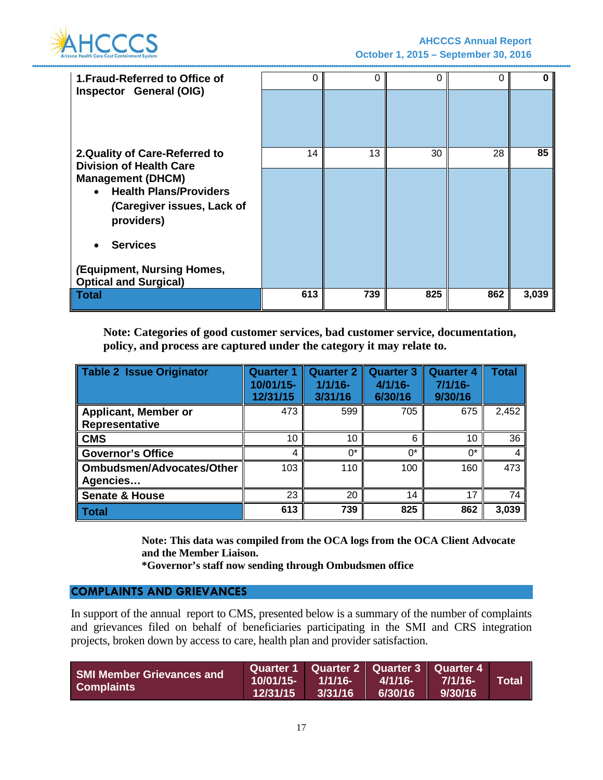

| 1. Fraud-Referred to Office of<br>Inspector General (OIG)                                                                                                                                                              | 0   | 0   | 0   | 0   |       |
|------------------------------------------------------------------------------------------------------------------------------------------------------------------------------------------------------------------------|-----|-----|-----|-----|-------|
| 2. Quality of Care-Referred to<br><b>Division of Health Care</b><br><b>Management (DHCM)</b><br><b>Health Plans/Providers</b><br>$\bullet$<br>(Caregiver issues, Lack of<br>providers)<br><b>Services</b><br>$\bullet$ | 14  | 13  | 30  | 28  | 85    |
| (Equipment, Nursing Homes,<br><b>Optical and Surgical)</b>                                                                                                                                                             |     |     |     |     |       |
| Total                                                                                                                                                                                                                  | 613 | 739 | 825 | 862 | 3,039 |

**Note: Categories of good customer services, bad customer service, documentation, policy, and process are captured under the category it may relate to.** 

| Table 2 Issue Originator         | <b>Quarter 1</b><br>10/01/15-<br>12/31/15 | <b>Quarter 2</b><br>$1/1/16$ -<br>3/31/16 | <b>Quarter 3</b><br>$4/1/16 -$<br>6/30/16 | <b>Quarter 4</b><br>$7/1/16-$<br>9/30/16 | <b>Total</b> |
|----------------------------------|-------------------------------------------|-------------------------------------------|-------------------------------------------|------------------------------------------|--------------|
| <b>Applicant, Member or</b>      | 473                                       | 599                                       | 705                                       | 675                                      | 2,452        |
| Representative                   |                                           |                                           |                                           |                                          |              |
| <b>CMS</b>                       | 10                                        | 10                                        | 6                                         | 10                                       | 36           |
| <b>Governor's Office</b>         | 4                                         | $0^*$                                     | $^{\circ}$                                | $0^*$                                    |              |
| <b>Ombudsmen/Advocates/Other</b> | 103                                       | 110                                       | 100                                       | 160                                      | 473          |
| Agencies                         |                                           |                                           |                                           |                                          |              |
| <b>Senate &amp; House</b>        | 23                                        | 20                                        | 14                                        | 17                                       | 74           |
| <b>Total</b>                     | 613                                       | 739                                       | 825                                       | 862                                      | 3,039        |

**Note: This data was compiled from the OCA logs from the OCA Client Advocate and the Member Liaison.**

**\*Governor's staff now sending through Ombudsmen office**

### **COMPLAINTS AND GRIEVANCES**

In support of the annual report to CMS, presented below is a summary of the number of complaints and grievances filed on behalf of beneficiaries participating in the SMI and CRS integration projects, broken down by access to care, health plan and provider satisfaction.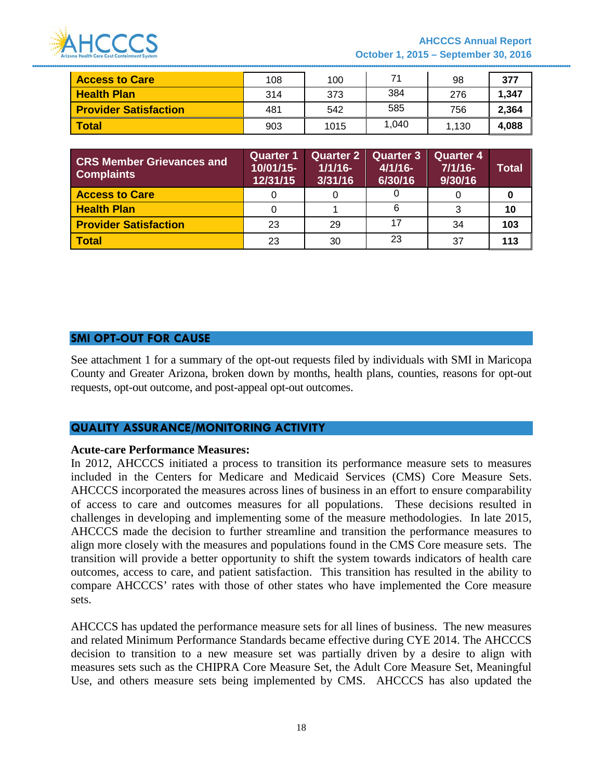

| <b>Access to Care</b>        | 108 | 100  | 71    | 98    | 377   |
|------------------------------|-----|------|-------|-------|-------|
| <b>Health Plan</b>           | 314 | 373  | 384   | 276   | 1,347 |
| <b>Provider Satisfaction</b> | 481 | 542  | 585   | 756   | 2,364 |
| <b>Total</b>                 | 903 | 1015 | 1.040 | 1,130 | 4,088 |

| <b>CRS Member Grievances and</b><br><b>Complaints</b> | <b>Quarter 1</b><br>10/01/15-<br>12/31/15 | <b>Quarter 2</b><br>$1/1/16$ -<br>3/31/16 | <b>Quarter 3</b><br>$4/1/16$ -<br>6/30/16 | <b>Quarter 4</b><br>$7/1/16$ -<br>9/30/16 | <b>Total</b> |
|-------------------------------------------------------|-------------------------------------------|-------------------------------------------|-------------------------------------------|-------------------------------------------|--------------|
| <b>Access to Care</b>                                 |                                           |                                           |                                           |                                           |              |
| <b>Health Plan</b>                                    |                                           |                                           | 6                                         |                                           | 10           |
| <b>Provider Satisfaction</b>                          | 23                                        | 29                                        |                                           | 34                                        | 103          |
| <b>Total</b>                                          | 23                                        | 30                                        | 23                                        | 37                                        | 113          |

#### **SMI OPT-OUT FOR CAUSE**

See attachment 1 for a summary of the opt-out requests filed by individuals with SMI in Maricopa County and Greater Arizona, broken down by months, health plans, counties, reasons for opt-out requests, opt-out outcome, and post-appeal opt-out outcomes.

### **QUALITY ASSURANCE/MONITORING ACTIVITY**

#### **Acute-care Performance Measures:**

In 2012, AHCCCS initiated a process to transition its performance measure sets to measures included in the Centers for Medicare and Medicaid Services (CMS) Core Measure Sets. AHCCCS incorporated the measures across lines of business in an effort to ensure comparability of access to care and outcomes measures for all populations. These decisions resulted in challenges in developing and implementing some of the measure methodologies. In late 2015, AHCCCS made the decision to further streamline and transition the performance measures to align more closely with the measures and populations found in the CMS Core measure sets. The transition will provide a better opportunity to shift the system towards indicators of health care outcomes, access to care, and patient satisfaction. This transition has resulted in the ability to compare AHCCCS' rates with those of other states who have implemented the Core measure sets.

AHCCCS has updated the performance measure sets for all lines of business. The new measures and related Minimum Performance Standards became effective during CYE 2014. The AHCCCS decision to transition to a new measure set was partially driven by a desire to align with measures sets such as the CHIPRA Core Measure Set, the Adult Core Measure Set, Meaningful Use, and others measure sets being implemented by CMS. AHCCCS has also updated the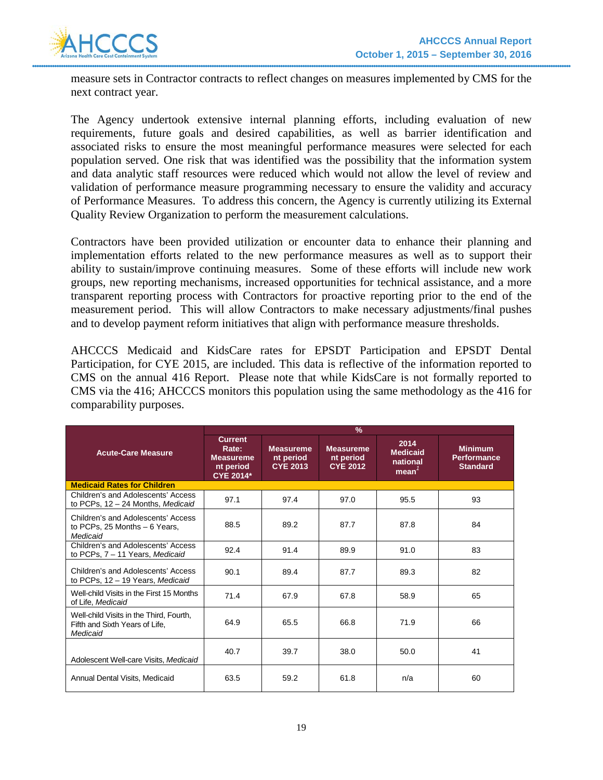

measure sets in Contractor contracts to reflect changes on measures implemented by CMS for the next contract year.

The Agency undertook extensive internal planning efforts, including evaluation of new requirements, future goals and desired capabilities, as well as barrier identification and associated risks to ensure the most meaningful performance measures were selected for each population served. One risk that was identified was the possibility that the information system and data analytic staff resources were reduced which would not allow the level of review and validation of performance measure programming necessary to ensure the validity and accuracy of Performance Measures. To address this concern, the Agency is currently utilizing its External Quality Review Organization to perform the measurement calculations.

Contractors have been provided utilization or encounter data to enhance their planning and implementation efforts related to the new performance measures as well as to support their ability to sustain/improve continuing measures. Some of these efforts will include new work groups, new reporting mechanisms, increased opportunities for technical assistance, and a more transparent reporting process with Contractors for proactive reporting prior to the end of the measurement period. This will allow Contractors to make necessary adjustments/final pushes and to develop payment reform initiatives that align with performance measure thresholds.

AHCCCS Medicaid and KidsCare rates for EPSDT Participation and EPSDT Dental Participation, for CYE 2015, are included. This data is reflective of the information reported to CMS on the annual 416 Report. Please note that while KidsCare is not formally reported to CMS via the 416; AHCCCS monitors this population using the same methodology as the 416 for comparability purposes.

|                                                                                       | $\frac{9}{6}$                                                                |                                                  |                                                  |                                               |                                                         |
|---------------------------------------------------------------------------------------|------------------------------------------------------------------------------|--------------------------------------------------|--------------------------------------------------|-----------------------------------------------|---------------------------------------------------------|
| <b>Acute-Care Measure</b>                                                             | <b>Current</b><br>Rate:<br><b>Measureme</b><br>nt period<br><b>CYE 2014*</b> | <b>Measureme</b><br>nt period<br><b>CYE 2013</b> | <b>Measureme</b><br>nt period<br><b>CYE 2012</b> | 2014<br><b>Medicaid</b><br>national<br>mean ' | <b>Minimum</b><br><b>Performance</b><br><b>Standard</b> |
| <b>Medicaid Rates for Children</b>                                                    |                                                                              |                                                  |                                                  |                                               |                                                         |
| Children's and Adolescents' Access<br>to PCPs, 12 - 24 Months, Medicaid               | 97.1                                                                         | 97.4                                             | 97.0                                             | 95.5                                          | 93                                                      |
| Children's and Adolescents' Access<br>to PCPs, 25 Months - 6 Years,<br>Medicaid       | 88.5                                                                         | 89.2                                             | 87.7                                             | 87.8                                          | 84                                                      |
| Children's and Adolescents' Access<br>to PCPs, 7 - 11 Years, Medicaid                 | 92.4                                                                         | 91.4                                             | 89.9                                             | 91.0                                          | 83                                                      |
| Children's and Adolescents' Access<br>to PCPs, 12 - 19 Years, Medicaid                | 90.1                                                                         | 89.4                                             | 87.7                                             | 89.3                                          | 82                                                      |
| Well-child Visits in the First 15 Months<br>of Life, Medicaid                         | 71.4                                                                         | 67.9                                             | 67.8                                             | 58.9                                          | 65                                                      |
| Well-child Visits in the Third, Fourth,<br>Fifth and Sixth Years of Life,<br>Medicaid | 64.9                                                                         | 65.5                                             | 66.8                                             | 71.9                                          | 66                                                      |
| Adolescent Well-care Visits, Medicaid                                                 | 40.7                                                                         | 39.7                                             | 38.0                                             | 50.0                                          | 41                                                      |
| Annual Dental Visits, Medicaid                                                        | 63.5                                                                         | 59.2                                             | 61.8                                             | n/a                                           | 60                                                      |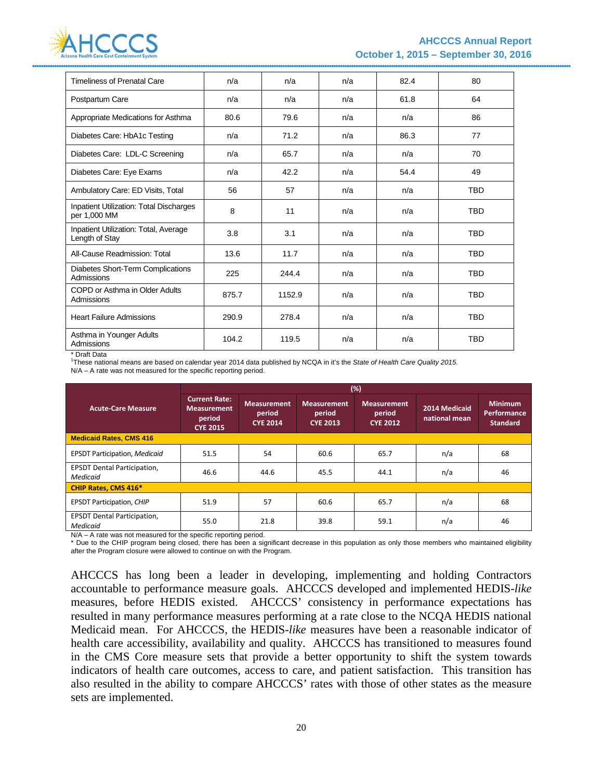

| <b>Timeliness of Prenatal Care</b>                             | n/a   | n/a    | n/a | 82.4 | 80         |
|----------------------------------------------------------------|-------|--------|-----|------|------------|
| Postpartum Care                                                | n/a   | n/a    | n/a | 61.8 | 64         |
| Appropriate Medications for Asthma                             | 80.6  | 79.6   | n/a | n/a  | 86         |
| Diabetes Care: HbA1c Testing                                   | n/a   | 71.2   | n/a | 86.3 | 77         |
| Diabetes Care: LDL-C Screening                                 | n/a   | 65.7   | n/a | n/a  | 70         |
| Diabetes Care: Eye Exams                                       | n/a   | 42.2   | n/a | 54.4 | 49         |
| Ambulatory Care: ED Visits, Total                              | 56    | 57     | n/a | n/a  | <b>TBD</b> |
| <b>Inpatient Utilization: Total Discharges</b><br>per 1,000 MM | 8     | 11     | n/a | n/a  | <b>TBD</b> |
| Inpatient Utilization: Total, Average<br>Length of Stay        | 3.8   | 3.1    | n/a | n/a  | <b>TBD</b> |
| All-Cause Readmission: Total                                   | 13.6  | 11.7   | n/a | n/a  | <b>TBD</b> |
| Diabetes Short-Term Complications<br>Admissions                | 225   | 244.4  | n/a | n/a  | <b>TBD</b> |
| COPD or Asthma in Older Adults<br>Admissions                   | 875.7 | 1152.9 | n/a | n/a  | <b>TBD</b> |
| <b>Heart Failure Admissions</b>                                | 290.9 | 278.4  | n/a | n/a  | <b>TBD</b> |
| Asthma in Younger Adults<br>Admissions                         | 104.2 | 119.5  | n/a | n/a  | <b>TBD</b> |

\* Draft Data

1 These national means are based on calendar year 2014 data published by NCQA in it's the *State of Health Care Quality 2015*.

N/A – A rate was not measured for the specific reporting period.

|                                                | (%)                                                                     |                                                 |                                                 |                                                 |                                |                                                  |  |  |  |
|------------------------------------------------|-------------------------------------------------------------------------|-------------------------------------------------|-------------------------------------------------|-------------------------------------------------|--------------------------------|--------------------------------------------------|--|--|--|
| <b>Acute-Care Measure</b>                      | <b>Current Rate:</b><br><b>Measurement</b><br>period<br><b>CYE 2015</b> | <b>Measurement</b><br>period<br><b>CYE 2014</b> | <b>Measurement</b><br>period<br><b>CYE 2013</b> | <b>Measurement</b><br>period<br><b>CYE 2012</b> | 2014 Medicaid<br>national mean | <b>Minimum</b><br>Performance<br><b>Standard</b> |  |  |  |
| <b>Medicaid Rates, CMS 416</b>                 |                                                                         |                                                 |                                                 |                                                 |                                |                                                  |  |  |  |
| <b>EPSDT Participation, Medicaid</b>           | 51.5                                                                    | 54                                              | 60.6                                            | 65.7                                            | n/a                            | 68                                               |  |  |  |
| <b>EPSDT Dental Participation,</b><br>Medicaid | 46.6                                                                    | 44.6                                            | 45.5                                            | 44.1                                            | n/a                            | 46                                               |  |  |  |
| <b>CHIP Rates, CMS 416*</b>                    |                                                                         |                                                 |                                                 |                                                 |                                |                                                  |  |  |  |
| <b>EPSDT Participation, CHIP</b>               | 51.9                                                                    | 57                                              | 60.6                                            | 65.7                                            | n/a                            | 68                                               |  |  |  |
| <b>EPSDT Dental Participation,</b><br>Medicaid | 55.0                                                                    | 21.8                                            | 39.8                                            | 59.1                                            | n/a                            | 46                                               |  |  |  |

N/A – A rate was not measured for the specific reporting period.

\* Due to the CHIP program being closed, there has been a significant decrease in this population as only those members who maintained eligibility after the Program closure were allowed to continue on with the Program.

AHCCCS has long been a leader in developing, implementing and holding Contractors accountable to performance measure goals. AHCCCS developed and implemented HEDIS-*like* measures, before HEDIS existed. AHCCCS' consistency in performance expectations has resulted in many performance measures performing at a rate close to the NCQA HEDIS national Medicaid mean. For AHCCCS, the HEDIS-*like* measures have been a reasonable indicator of health care accessibility, availability and quality. AHCCCS has transitioned to measures found in the CMS Core measure sets that provide a better opportunity to shift the system towards indicators of health care outcomes, access to care, and patient satisfaction. This transition has also resulted in the ability to compare AHCCCS' rates with those of other states as the measure sets are implemented.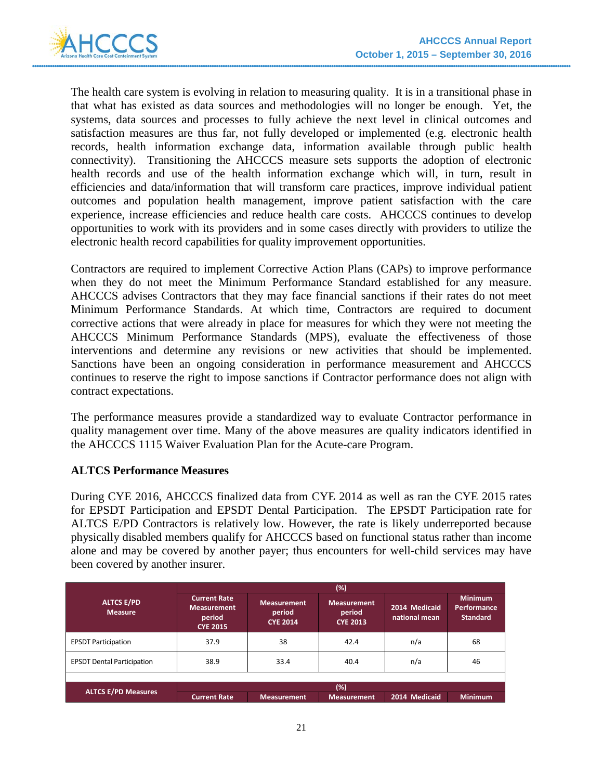

The health care system is evolving in relation to measuring quality. It is in a transitional phase in that what has existed as data sources and methodologies will no longer be enough. Yet, the systems, data sources and processes to fully achieve the next level in clinical outcomes and satisfaction measures are thus far, not fully developed or implemented (e.g. electronic health records, health information exchange data, information available through public health connectivity). Transitioning the AHCCCS measure sets supports the adoption of electronic health records and use of the health information exchange which will, in turn, result in efficiencies and data/information that will transform care practices, improve individual patient outcomes and population health management, improve patient satisfaction with the care experience, increase efficiencies and reduce health care costs. AHCCCS continues to develop opportunities to work with its providers and in some cases directly with providers to utilize the electronic health record capabilities for quality improvement opportunities.

Contractors are required to implement Corrective Action Plans (CAPs) to improve performance when they do not meet the Minimum Performance Standard established for any measure. AHCCCS advises Contractors that they may face financial sanctions if their rates do not meet Minimum Performance Standards. At which time, Contractors are required to document corrective actions that were already in place for measures for which they were not meeting the AHCCCS Minimum Performance Standards (MPS), evaluate the effectiveness of those interventions and determine any revisions or new activities that should be implemented. Sanctions have been an ongoing consideration in performance measurement and AHCCCS continues to reserve the right to impose sanctions if Contractor performance does not align with contract expectations.

The performance measures provide a standardized way to evaluate Contractor performance in quality management over time. Many of the above measures are quality indicators identified in the AHCCCS 1115 Waiver Evaluation Plan for the Acute-care Program.

# **ALTCS Performance Measures**

During CYE 2016, AHCCCS finalized data from CYE 2014 as well as ran the CYE 2015 rates for EPSDT Participation and EPSDT Dental Participation. The EPSDT Participation rate for ALTCS E/PD Contractors is relatively low. However, the rate is likely underreported because physically disabled members qualify for AHCCCS based on functional status rather than income alone and may be covered by another payer; thus encounters for well-child services may have been covered by another insurer.

|                                     | $(\%)$                                                                 |                                                 |                                                 |                                |                                                         |  |  |  |  |
|-------------------------------------|------------------------------------------------------------------------|-------------------------------------------------|-------------------------------------------------|--------------------------------|---------------------------------------------------------|--|--|--|--|
| <b>ALTCS E/PD</b><br><b>Measure</b> | <b>Current Rate</b><br><b>Measurement</b><br>period<br><b>CYE 2015</b> | <b>Measurement</b><br>period<br><b>CYE 2014</b> | <b>Measurement</b><br>period<br><b>CYE 2013</b> | 2014 Medicaid<br>national mean | <b>Minimum</b><br><b>Performance</b><br><b>Standard</b> |  |  |  |  |
| <b>EPSDT Participation</b>          | 37.9                                                                   | 38                                              | 42.4                                            | n/a                            | 68                                                      |  |  |  |  |
| <b>EPSDT Dental Participation</b>   | 38.9                                                                   | 33.4                                            | 40.4                                            | n/a                            | 46                                                      |  |  |  |  |
|                                     |                                                                        |                                                 |                                                 |                                |                                                         |  |  |  |  |
|                                     |                                                                        |                                                 | $(\%)$                                          |                                |                                                         |  |  |  |  |
| <b>ALTCS E/PD Measures</b>          | <b>Current Rate</b>                                                    | Measurement                                     | <b>Measurement</b>                              | 2014 Medicaid                  | <b>Minimum</b>                                          |  |  |  |  |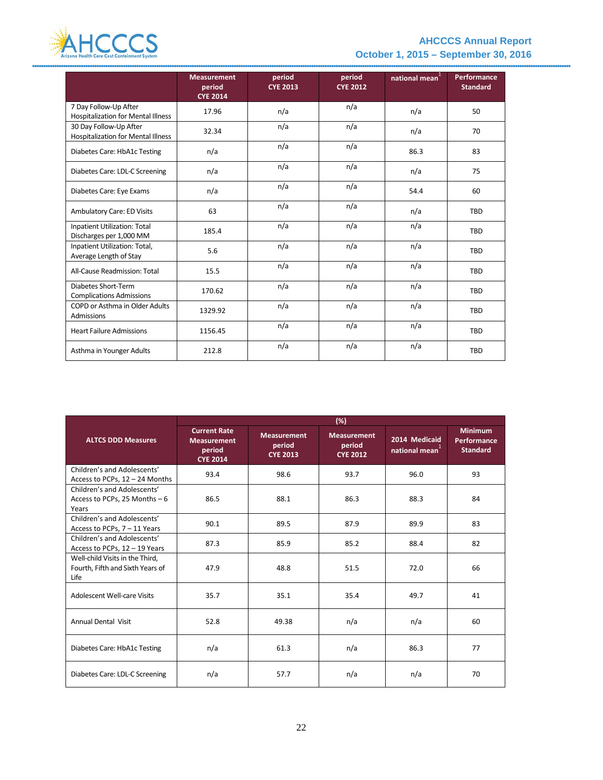

# **AHCCCS Annual Report October 1, 2015 – September 30, 2016**

|                                                                    | <b>Measurement</b><br>period<br><b>CYE 2014</b> | period<br><b>CYE 2013</b> | period<br><b>CYE 2012</b> | national mean <sup>1</sup> | <b>Performance</b><br><b>Standard</b> |
|--------------------------------------------------------------------|-------------------------------------------------|---------------------------|---------------------------|----------------------------|---------------------------------------|
| 7 Day Follow-Up After<br><b>Hospitalization for Mental Illness</b> | 17.96                                           | n/a                       | n/a                       | n/a                        | 50                                    |
| 30 Day Follow-Up After<br>Hospitalization for Mental Illness       | 32.34                                           | n/a                       | n/a                       | n/a                        | 70                                    |
| Diabetes Care: HbA1c Testing                                       | n/a                                             | n/a                       | n/a                       | 86.3                       | 83                                    |
| Diabetes Care: LDL-C Screening                                     | n/a                                             | n/a                       | n/a                       | n/a                        | 75                                    |
| Diabetes Care: Eye Exams                                           | n/a                                             | n/a                       | n/a                       | 54.4                       | 60                                    |
| Ambulatory Care: ED Visits                                         | 63                                              | n/a                       | n/a                       | n/a                        | <b>TBD</b>                            |
| Inpatient Utilization: Total<br>Discharges per 1,000 MM            | 185.4                                           | n/a                       | n/a                       | n/a                        | <b>TBD</b>                            |
| Inpatient Utilization: Total,<br>Average Length of Stay            | 5.6                                             | n/a                       | n/a                       | n/a                        | <b>TBD</b>                            |
| All-Cause Readmission: Total                                       | 15.5                                            | n/a                       | n/a                       | n/a                        | <b>TBD</b>                            |
| Diabetes Short-Term<br><b>Complications Admissions</b>             | 170.62                                          | n/a                       | n/a                       | n/a                        | <b>TBD</b>                            |
| COPD or Asthma in Older Adults<br>Admissions                       | 1329.92                                         | n/a                       | n/a                       | n/a                        | <b>TBD</b>                            |
| <b>Heart Failure Admissions</b>                                    | 1156.45                                         | n/a                       | n/a                       | n/a                        | <b>TBD</b>                            |
| Asthma in Younger Adults                                           | 212.8                                           | n/a                       | n/a                       | n/a                        | TBD                                   |

|                                                                             | (%)                                                                    |                                                 |                                                 |                                             |                                                         |  |  |  |  |
|-----------------------------------------------------------------------------|------------------------------------------------------------------------|-------------------------------------------------|-------------------------------------------------|---------------------------------------------|---------------------------------------------------------|--|--|--|--|
| <b>ALTCS DDD Measures</b>                                                   | <b>Current Rate</b><br><b>Measurement</b><br>period<br><b>CYE 2014</b> | <b>Measurement</b><br>period<br><b>CYE 2013</b> | <b>Measurement</b><br>period<br><b>CYE 2012</b> | 2014 Medicaid<br>national mean <sup>+</sup> | <b>Minimum</b><br><b>Performance</b><br><b>Standard</b> |  |  |  |  |
| Children's and Adolescents'<br>Access to PCPs, 12 - 24 Months               | 93.4                                                                   | 98.6                                            | 93.7                                            | 96.0                                        | 93                                                      |  |  |  |  |
| Children's and Adolescents'<br>Access to PCPs, 25 Months $-6$<br>Years      | 86.5                                                                   | 88.1                                            | 86.3                                            | 88.3                                        | 84                                                      |  |  |  |  |
| Children's and Adolescents'<br>Access to PCPs, 7 - 11 Years                 | 90.1                                                                   | 89.5                                            | 87.9                                            | 89.9                                        | 83                                                      |  |  |  |  |
| Children's and Adolescents'<br>Access to PCPs, 12 - 19 Years                | 87.3                                                                   | 85.9                                            | 85.2                                            | 88.4                                        | 82                                                      |  |  |  |  |
| Well-child Visits in the Third,<br>Fourth, Fifth and Sixth Years of<br>Life | 47.9                                                                   | 48.8                                            | 51.5                                            | 72.0                                        | 66                                                      |  |  |  |  |
| Adolescent Well-care Visits                                                 | 35.7                                                                   | 35.1                                            | 35.4                                            | 49.7                                        | 41                                                      |  |  |  |  |
| <b>Annual Dental Visit</b>                                                  | 52.8                                                                   | 49.38                                           | n/a                                             | n/a                                         | 60                                                      |  |  |  |  |
| Diabetes Care: HbA1c Testing                                                | n/a                                                                    | 61.3                                            | n/a                                             | 86.3                                        | 77                                                      |  |  |  |  |
| Diabetes Care: LDL-C Screening                                              | n/a                                                                    | 57.7                                            | n/a                                             | n/a                                         | 70                                                      |  |  |  |  |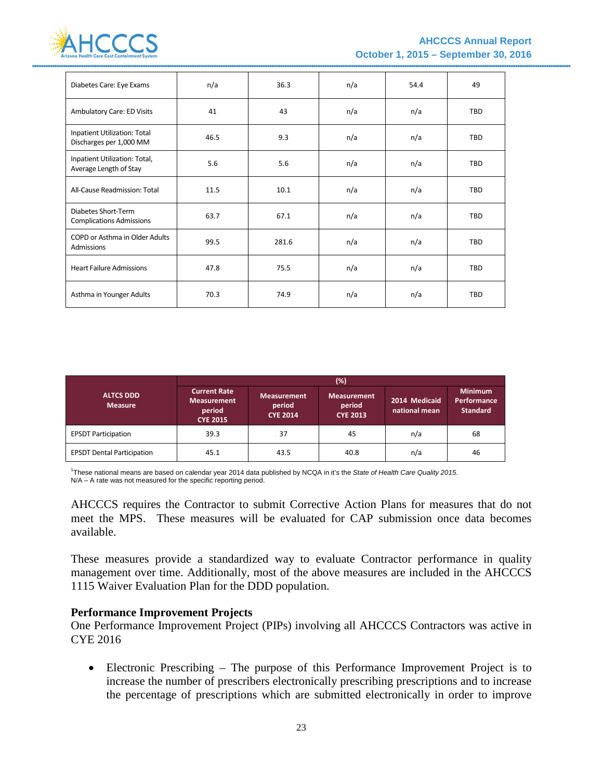

| Diabetes Care: Eye Exams                                | n/a  | 36.3  | n/a | 54.4 | 49         |
|---------------------------------------------------------|------|-------|-----|------|------------|
| Ambulatory Care: ED Visits                              | 41   | 43    | n/a | n/a  | <b>TBD</b> |
| Inpatient Utilization: Total<br>Discharges per 1,000 MM | 46.5 | 9.3   | n/a | n/a  | <b>TBD</b> |
| Inpatient Utilization: Total,<br>Average Length of Stay | 5.6  | 5.6   | n/a | n/a  | <b>TBD</b> |
| All-Cause Readmission: Total                            | 11.5 | 10.1  | n/a | n/a  | <b>TBD</b> |
| Diabetes Short-Term<br><b>Complications Admissions</b>  | 63.7 | 67.1  | n/a | n/a  | TBD        |
| COPD or Asthma in Older Adults<br>Admissions            | 99.5 | 281.6 | n/a | n/a  | <b>TBD</b> |
| <b>Heart Failure Admissions</b>                         | 47.8 | 75.5  | n/a | n/a  | <b>TBD</b> |
| Asthma in Younger Adults                                | 70.3 | 74.9  | n/a | n/a  | <b>TBD</b> |

|                                    | (%)                                                                    |                                                 |                                                 |                                |                                                  |  |  |  |  |
|------------------------------------|------------------------------------------------------------------------|-------------------------------------------------|-------------------------------------------------|--------------------------------|--------------------------------------------------|--|--|--|--|
| <b>ALTCS DDD</b><br><b>Measure</b> | <b>Current Rate</b><br><b>Measurement</b><br>period<br><b>CYE 2015</b> | <b>Measurement</b><br>period<br><b>CYE 2014</b> | <b>Measurement</b><br>period<br><b>CYE 2013</b> | 2014 Medicaid<br>national mean | <b>Minimum</b><br>Performance<br><b>Standard</b> |  |  |  |  |
| <b>EPSDT Participation</b>         | 39.3                                                                   | 37                                              | 45                                              | n/a                            | 68                                               |  |  |  |  |
| <b>EPSDT Dental Participation</b>  | 45.1                                                                   | 43.5                                            | 40.8                                            | n/a                            | 46                                               |  |  |  |  |

1 These national means are based on calendar year 2014 data published by NCQA in it's the *State of Health Care Quality 2015*. N/A – A rate was not measured for the specific reporting period.

AHCCCS requires the Contractor to submit Corrective Action Plans for measures that do not meet the MPS. These measures will be evaluated for CAP submission once data becomes available.

These measures provide a standardized way to evaluate Contractor performance in quality management over time. Additionally, most of the above measures are included in the AHCCCS 1115 Waiver Evaluation Plan for the DDD population.

### **Performance Improvement Projects**

One Performance Improvement Project (PIPs) involving all AHCCCS Contractors was active in CYE 2016

• Electronic Prescribing – The purpose of this Performance Improvement Project is to increase the number of prescribers electronically prescribing prescriptions and to increase the percentage of prescriptions which are submitted electronically in order to improve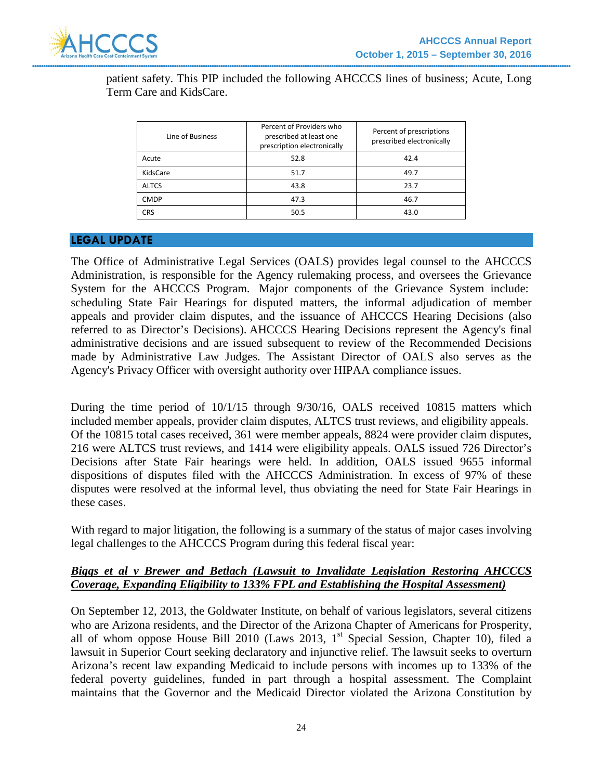

patient safety. This PIP included the following AHCCCS lines of business; Acute, Long Term Care and KidsCare.

| Line of Business | Percent of Providers who<br>prescribed at least one<br>prescription electronically | Percent of prescriptions<br>prescribed electronically |
|------------------|------------------------------------------------------------------------------------|-------------------------------------------------------|
| Acute            | 52.8                                                                               | 42.4                                                  |
| KidsCare         | 51.7                                                                               | 49.7                                                  |
| <b>ALTCS</b>     | 43.8                                                                               | 23.7                                                  |
| <b>CMDP</b>      | 47.3                                                                               | 46.7                                                  |
| <b>CRS</b>       | 50.5                                                                               | 43.0                                                  |

#### **LEGAL UPDATE**

The Office of Administrative Legal Services (OALS) provides legal counsel to the AHCCCS Administration, is responsible for the Agency rulemaking process, and oversees the Grievance System for the AHCCCS Program. Major components of the Grievance System include: scheduling State Fair Hearings for disputed matters, the informal adjudication of member appeals and provider claim disputes, and the issuance of AHCCCS Hearing Decisions (also referred to as Director's Decisions). AHCCCS Hearing Decisions represent the Agency's final administrative decisions and are issued subsequent to review of the Recommended Decisions made by Administrative Law Judges. The Assistant Director of OALS also serves as the Agency's Privacy Officer with oversight authority over HIPAA compliance issues.

During the time period of 10/1/15 through 9/30/16, OALS received 10815 matters which included member appeals, provider claim disputes, ALTCS trust reviews, and eligibility appeals. Of the 10815 total cases received, 361 were member appeals, 8824 were provider claim disputes, 216 were ALTCS trust reviews, and 1414 were eligibility appeals. OALS issued 726 Director's Decisions after State Fair hearings were held. In addition, OALS issued 9655 informal dispositions of disputes filed with the AHCCCS Administration. In excess of 97% of these disputes were resolved at the informal level, thus obviating the need for State Fair Hearings in these cases.

With regard to major litigation, the following is a summary of the status of major cases involving legal challenges to the AHCCCS Program during this federal fiscal year:

### *Biggs et al v Brewer and Betlach (Lawsuit to Invalidate Legislation Restoring AHCCCS Coverage, Expanding Eligibility to 133% FPL and Establishing the Hospital Assessment)*

On September 12, 2013, the Goldwater Institute, on behalf of various legislators, several citizens who are Arizona residents, and the Director of the Arizona Chapter of Americans for Prosperity, all of whom oppose House Bill 2010 (Laws 2013,  $1<sup>st</sup>$  Special Session, Chapter 10), filed a lawsuit in Superior Court seeking declaratory and injunctive relief. The lawsuit seeks to overturn Arizona's recent law expanding Medicaid to include persons with incomes up to 133% of the federal poverty guidelines, funded in part through a hospital assessment. The Complaint maintains that the Governor and the Medicaid Director violated the Arizona Constitution by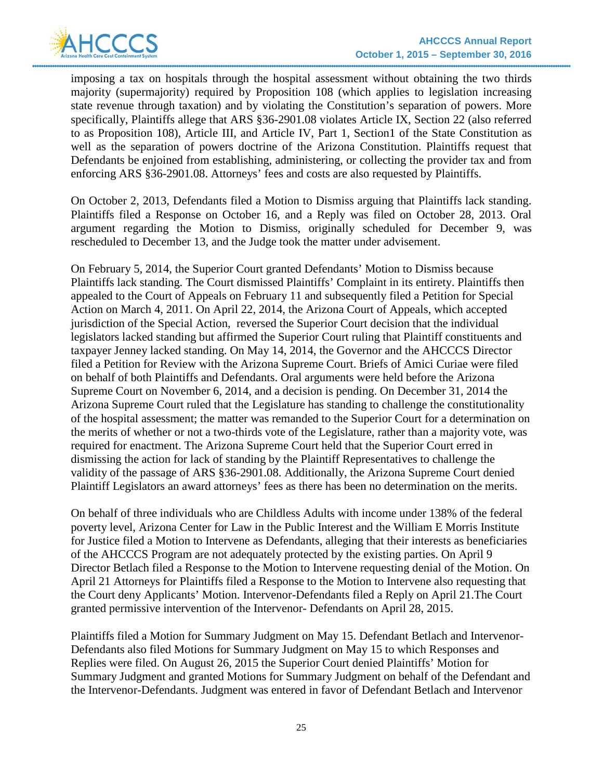

imposing a tax on hospitals through the hospital assessment without obtaining the two thirds majority (supermajority) required by Proposition 108 (which applies to legislation increasing state revenue through taxation) and by violating the Constitution's separation of powers. More specifically, Plaintiffs allege that ARS §36-2901.08 violates Article IX, Section 22 (also referred to as Proposition 108), Article III, and Article IV, Part 1, Section1 of the State Constitution as well as the separation of powers doctrine of the Arizona Constitution. Plaintiffs request that Defendants be enjoined from establishing, administering, or collecting the provider tax and from enforcing ARS §36-2901.08. Attorneys' fees and costs are also requested by Plaintiffs.

On October 2, 2013, Defendants filed a Motion to Dismiss arguing that Plaintiffs lack standing. Plaintiffs filed a Response on October 16, and a Reply was filed on October 28, 2013. Oral argument regarding the Motion to Dismiss, originally scheduled for December 9, was rescheduled to December 13, and the Judge took the matter under advisement.

On February 5, 2014, the Superior Court granted Defendants' Motion to Dismiss because Plaintiffs lack standing. The Court dismissed Plaintiffs' Complaint in its entirety. Plaintiffs then appealed to the Court of Appeals on February 11 and subsequently filed a Petition for Special Action on March 4, 2011. On April 22, 2014, the Arizona Court of Appeals, which accepted jurisdiction of the Special Action, reversed the Superior Court decision that the individual legislators lacked standing but affirmed the Superior Court ruling that Plaintiff constituents and taxpayer Jenney lacked standing. On May 14, 2014, the Governor and the AHCCCS Director filed a Petition for Review with the Arizona Supreme Court. Briefs of Amici Curiae were filed on behalf of both Plaintiffs and Defendants. Oral arguments were held before the Arizona Supreme Court on November 6, 2014, and a decision is pending. On December 31, 2014 the Arizona Supreme Court ruled that the Legislature has standing to challenge the constitutionality of the hospital assessment; the matter was remanded to the Superior Court for a determination on the merits of whether or not a two-thirds vote of the Legislature, rather than a majority vote, was required for enactment. The Arizona Supreme Court held that the Superior Court erred in dismissing the action for lack of standing by the Plaintiff Representatives to challenge the validity of the passage of ARS §36-2901.08. Additionally, the Arizona Supreme Court denied Plaintiff Legislators an award attorneys' fees as there has been no determination on the merits.

On behalf of three individuals who are Childless Adults with income under 138% of the federal poverty level, Arizona Center for Law in the Public Interest and the William E Morris Institute for Justice filed a Motion to Intervene as Defendants, alleging that their interests as beneficiaries of the AHCCCS Program are not adequately protected by the existing parties. On April 9 Director Betlach filed a Response to the Motion to Intervene requesting denial of the Motion. On April 21 Attorneys for Plaintiffs filed a Response to the Motion to Intervene also requesting that the Court deny Applicants' Motion. Intervenor-Defendants filed a Reply on April 21.The Court granted permissive intervention of the Intervenor- Defendants on April 28, 2015.

Plaintiffs filed a Motion for Summary Judgment on May 15. Defendant Betlach and Intervenor-Defendants also filed Motions for Summary Judgment on May 15 to which Responses and Replies were filed. On August 26, 2015 the Superior Court denied Plaintiffs' Motion for Summary Judgment and granted Motions for Summary Judgment on behalf of the Defendant and the Intervenor-Defendants. Judgment was entered in favor of Defendant Betlach and Intervenor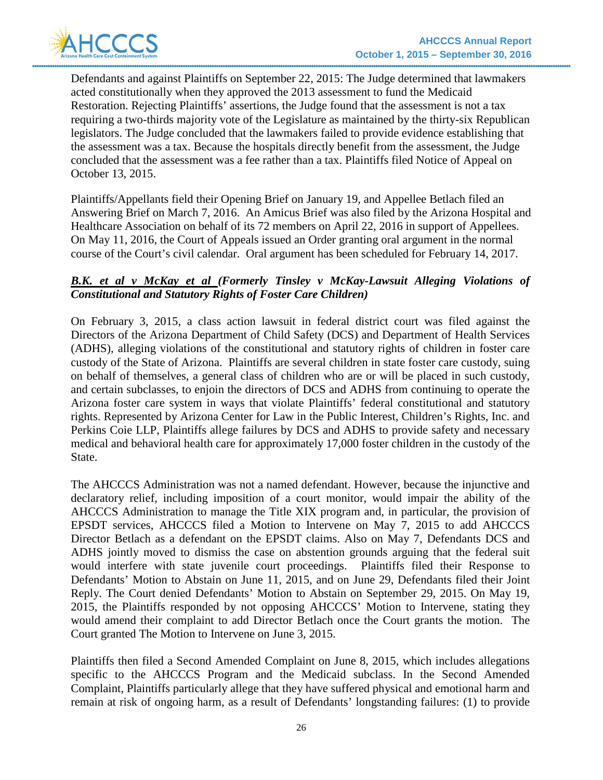

Defendants and against Plaintiffs on September 22, 2015: The Judge determined that lawmakers acted constitutionally when they approved the 2013 assessment to fund the Medicaid Restoration. Rejecting Plaintiffs' assertions, the Judge found that the assessment is not a tax requiring a two-thirds majority vote of the Legislature as maintained by the thirty-six Republican legislators. The Judge concluded that the lawmakers failed to provide evidence establishing that the assessment was a tax. Because the hospitals directly benefit from the assessment, the Judge concluded that the assessment was a fee rather than a tax. Plaintiffs filed Notice of Appeal on October 13, 2015.

Plaintiffs/Appellants field their Opening Brief on January 19, and Appellee Betlach filed an Answering Brief on March 7, 2016. An Amicus Brief was also filed by the Arizona Hospital and Healthcare Association on behalf of its 72 members on April 22, 2016 in support of Appellees. On May 11, 2016, the Court of Appeals issued an Order granting oral argument in the normal course of the Court's civil calendar. Oral argument has been scheduled for February 14, 2017.

### *B.K. et al v McKay et al (Formerly Tinsley v McKay-Lawsuit Alleging Violations of Constitutional and Statutory Rights of Foster Care Children)*

On February 3, 2015, a class action lawsuit in federal district court was filed against the Directors of the Arizona Department of Child Safety (DCS) and Department of Health Services (ADHS), alleging violations of the constitutional and statutory rights of children in foster care custody of the State of Arizona. Plaintiffs are several children in state foster care custody, suing on behalf of themselves, a general class of children who are or will be placed in such custody, and certain subclasses, to enjoin the directors of DCS and ADHS from continuing to operate the Arizona foster care system in ways that violate Plaintiffs' federal constitutional and statutory rights. Represented by Arizona Center for Law in the Public Interest, Children's Rights, Inc. and Perkins Coie LLP, Plaintiffs allege failures by DCS and ADHS to provide safety and necessary medical and behavioral health care for approximately 17,000 foster children in the custody of the State.

The AHCCCS Administration was not a named defendant. However, because the injunctive and declaratory relief, including imposition of a court monitor, would impair the ability of the AHCCCS Administration to manage the Title XIX program and, in particular, the provision of EPSDT services, AHCCCS filed a Motion to Intervene on May 7, 2015 to add AHCCCS Director Betlach as a defendant on the EPSDT claims. Also on May 7, Defendants DCS and ADHS jointly moved to dismiss the case on abstention grounds arguing that the federal suit would interfere with state juvenile court proceedings. Plaintiffs filed their Response to Defendants' Motion to Abstain on June 11, 2015, and on June 29, Defendants filed their Joint Reply. The Court denied Defendants' Motion to Abstain on September 29, 2015. On May 19, 2015, the Plaintiffs responded by not opposing AHCCCS' Motion to Intervene, stating they would amend their complaint to add Director Betlach once the Court grants the motion. The Court granted The Motion to Intervene on June 3, 2015.

Plaintiffs then filed a Second Amended Complaint on June 8, 2015, which includes allegations specific to the AHCCCS Program and the Medicaid subclass. In the Second Amended Complaint, Plaintiffs particularly allege that they have suffered physical and emotional harm and remain at risk of ongoing harm, as a result of Defendants' longstanding failures: (1) to provide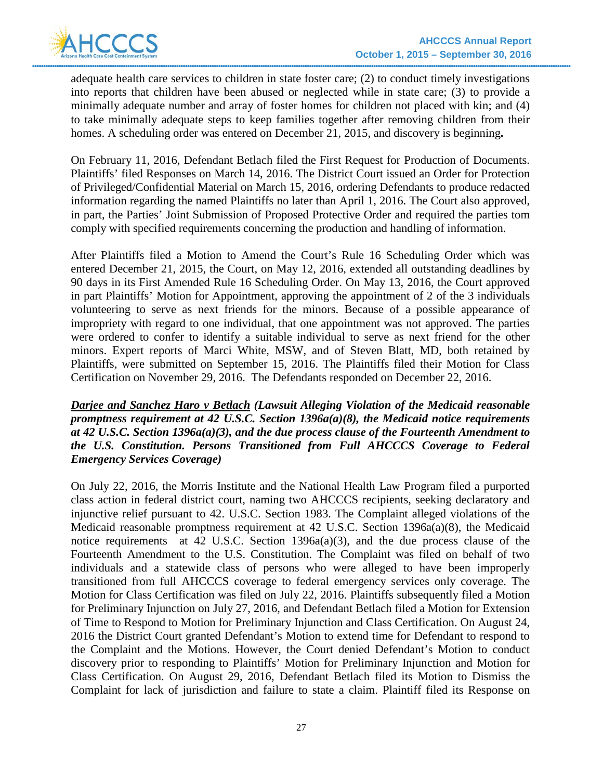adequate health care services to children in state foster care; (2) to conduct timely investigations into reports that children have been abused or neglected while in state care; (3) to provide a minimally adequate number and array of foster homes for children not placed with kin; and (4) to take minimally adequate steps to keep families together after removing children from their homes. A scheduling order was entered on December 21, 2015, and discovery is beginning**.** 

On February 11, 2016, Defendant Betlach filed the First Request for Production of Documents. Plaintiffs' filed Responses on March 14, 2016. The District Court issued an Order for Protection of Privileged/Confidential Material on March 15, 2016, ordering Defendants to produce redacted information regarding the named Plaintiffs no later than April 1, 2016. The Court also approved, in part, the Parties' Joint Submission of Proposed Protective Order and required the parties tom comply with specified requirements concerning the production and handling of information.

After Plaintiffs filed a Motion to Amend the Court's Rule 16 Scheduling Order which was entered December 21, 2015, the Court, on May 12, 2016, extended all outstanding deadlines by 90 days in its First Amended Rule 16 Scheduling Order. On May 13, 2016, the Court approved in part Plaintiffs' Motion for Appointment, approving the appointment of 2 of the 3 individuals volunteering to serve as next friends for the minors. Because of a possible appearance of impropriety with regard to one individual, that one appointment was not approved. The parties were ordered to confer to identify a suitable individual to serve as next friend for the other minors. Expert reports of Marci White, MSW, and of Steven Blatt, MD, both retained by Plaintiffs, were submitted on September 15, 2016. The Plaintiffs filed their Motion for Class Certification on November 29, 2016. The Defendants responded on December 22, 2016.

*Darjee and Sanchez Haro v Betlach (Lawsuit Alleging Violation of the Medicaid reasonable promptness requirement at 42 U.S.C. Section 1396a(a)(8), the Medicaid notice requirements at 42 U.S.C. Section 1396a(a)(3), and the due process clause of the Fourteenth Amendment to the U.S. Constitution. Persons Transitioned from Full AHCCCS Coverage to Federal Emergency Services Coverage)* 

On July 22, 2016, the Morris Institute and the National Health Law Program filed a purported class action in federal district court, naming two AHCCCS recipients, seeking declaratory and injunctive relief pursuant to 42. U.S.C. Section 1983. The Complaint alleged violations of the Medicaid reasonable promptness requirement at 42 U.S.C. Section 1396a(a)(8), the Medicaid notice requirements at 42 U.S.C. Section 1396a(a)(3), and the due process clause of the Fourteenth Amendment to the U.S. Constitution. The Complaint was filed on behalf of two individuals and a statewide class of persons who were alleged to have been improperly transitioned from full AHCCCS coverage to federal emergency services only coverage. The Motion for Class Certification was filed on July 22, 2016. Plaintiffs subsequently filed a Motion for Preliminary Injunction on July 27, 2016, and Defendant Betlach filed a Motion for Extension of Time to Respond to Motion for Preliminary Injunction and Class Certification. On August 24, 2016 the District Court granted Defendant's Motion to extend time for Defendant to respond to the Complaint and the Motions. However, the Court denied Defendant's Motion to conduct discovery prior to responding to Plaintiffs' Motion for Preliminary Injunction and Motion for Class Certification. On August 29, 2016, Defendant Betlach filed its Motion to Dismiss the Complaint for lack of jurisdiction and failure to state a claim. Plaintiff filed its Response on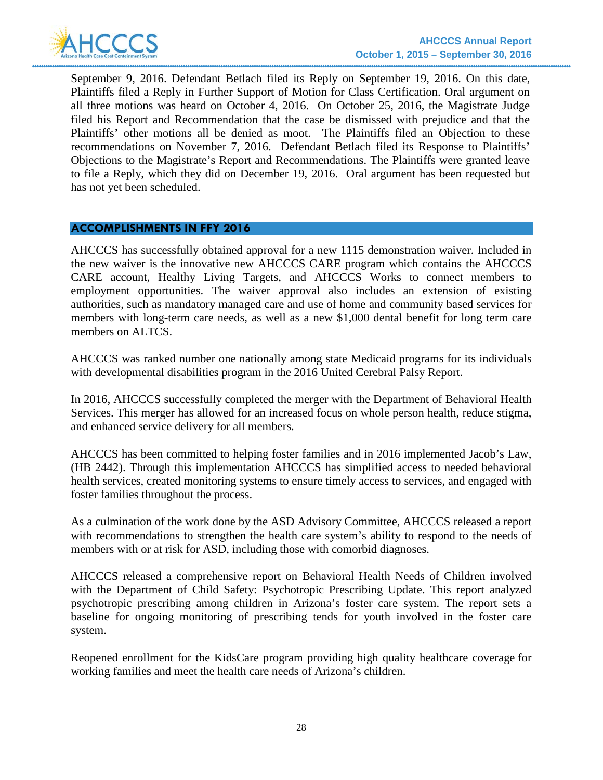

September 9, 2016. Defendant Betlach filed its Reply on September 19, 2016. On this date, Plaintiffs filed a Reply in Further Support of Motion for Class Certification. Oral argument on all three motions was heard on October 4, 2016. On October 25, 2016, the Magistrate Judge filed his Report and Recommendation that the case be dismissed with prejudice and that the Plaintiffs' other motions all be denied as moot. The Plaintiffs filed an Objection to these recommendations on November 7, 2016. Defendant Betlach filed its Response to Plaintiffs' Objections to the Magistrate's Report and Recommendations. The Plaintiffs were granted leave to file a Reply, which they did on December 19, 2016. Oral argument has been requested but has not yet been scheduled.

#### **ACCOMPLISHMENTS IN FFY 2016**

AHCCCS has successfully obtained approval for a new 1115 demonstration waiver. Included in the new waiver is the innovative new AHCCCS CARE program which contains the AHCCCS CARE account, Healthy Living Targets, and AHCCCS Works to connect members to employment opportunities. The waiver approval also includes an extension of existing authorities, such as mandatory managed care and use of home and community based services for members with long-term care needs, as well as a new \$1,000 dental benefit for long term care members on ALTCS.

AHCCCS was ranked number one nationally among state Medicaid programs for its individuals with developmental disabilities program in the 2016 United Cerebral Palsy Report.

In 2016, AHCCCS successfully completed the merger with the Department of Behavioral Health Services. This merger has allowed for an increased focus on whole person health, reduce stigma, and enhanced service delivery for all members.

AHCCCS has been committed to helping foster families and in 2016 implemented Jacob's Law, (HB 2442). Through this implementation AHCCCS has simplified access to needed behavioral health services, created monitoring systems to ensure timely access to services, and engaged with foster families throughout the process.

As a culmination of the work done by the ASD Advisory Committee, AHCCCS released a report with recommendations to strengthen the health care system's ability to respond to the needs of members with or at risk for ASD, including those with comorbid diagnoses.

AHCCCS released a comprehensive report on Behavioral Health Needs of Children involved with the Department of Child Safety: Psychotropic Prescribing Update. This report analyzed psychotropic prescribing among children in Arizona's foster care system. The report sets a baseline for ongoing monitoring of prescribing tends for youth involved in the foster care system.

Reopened enrollment for the KidsCare program providing high quality healthcare coverage for working families and meet the health care needs of Arizona's children.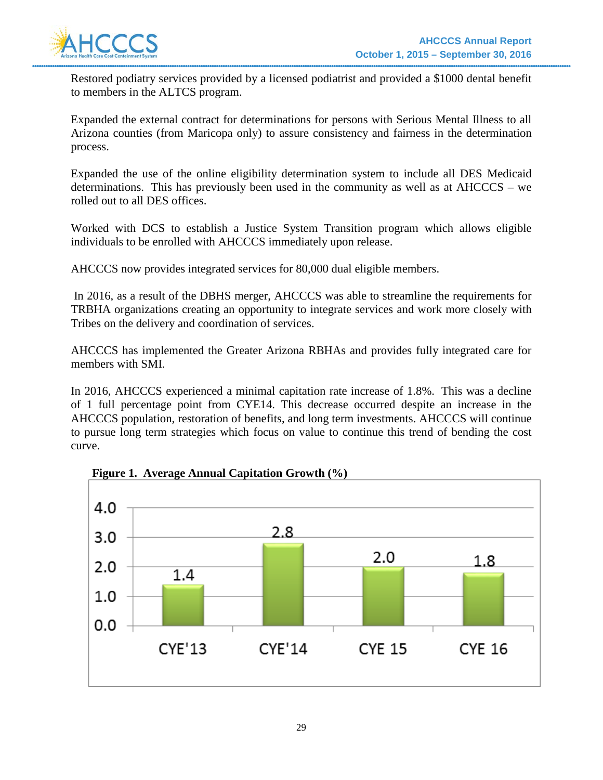

Restored podiatry services provided by a licensed podiatrist and provided a \$1000 dental benefit to members in the ALTCS program.

Expanded the external contract for determinations for persons with Serious Mental Illness to all Arizona counties (from Maricopa only) to assure consistency and fairness in the determination process.

Expanded the use of the online eligibility determination system to include all DES Medicaid determinations. This has previously been used in the community as well as at AHCCCS – we rolled out to all DES offices.

Worked with DCS to establish a Justice System Transition program which allows eligible individuals to be enrolled with AHCCCS immediately upon release.

AHCCCS now provides integrated services for 80,000 dual eligible members.

In 2016, as a result of the DBHS merger, AHCCCS was able to streamline the requirements for TRBHA organizations creating an opportunity to integrate services and work more closely with Tribes on the delivery and coordination of services.

AHCCCS has implemented the Greater Arizona RBHAs and provides fully integrated care for members with SMI.

In 2016, AHCCCS experienced a minimal capitation rate increase of 1.8%. This was a decline of 1 full percentage point from CYE14. This decrease occurred despite an increase in the AHCCCS population, restoration of benefits, and long term investments. AHCCCS will continue to pursue long term strategies which focus on value to continue this trend of bending the cost curve.



**Figure 1. Average Annual Capitation Growth (%)**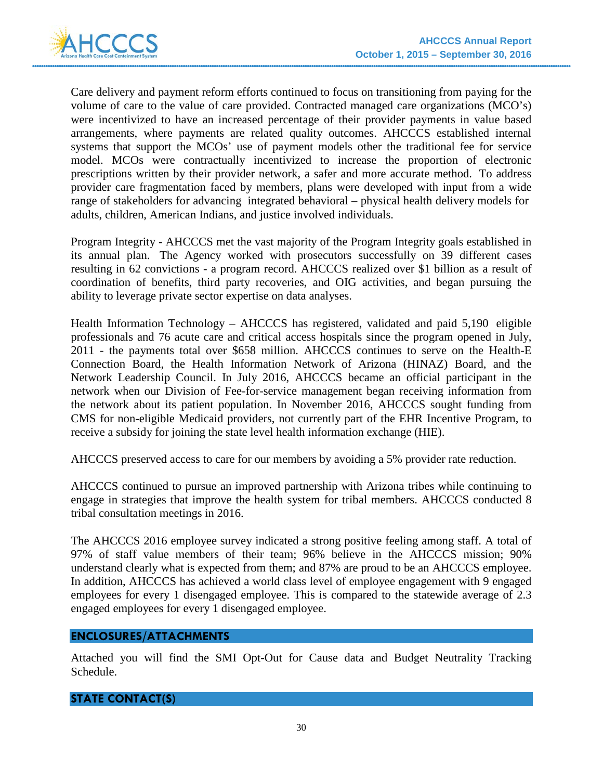

Care delivery and payment reform efforts continued to focus on transitioning from paying for the volume of care to the value of care provided. Contracted managed care organizations (MCO's) were incentivized to have an increased percentage of their provider payments in value based arrangements, where payments are related quality outcomes. AHCCCS established internal systems that support the MCOs' use of payment models other the traditional fee for service model. MCOs were contractually incentivized to increase the proportion of electronic prescriptions written by their provider network, a safer and more accurate method. To address provider care fragmentation faced by members, plans were developed with input from a wide range of stakeholders for advancing integrated behavioral – physical health delivery models for adults, children, American Indians, and justice involved individuals.

Program Integrity - AHCCCS met the vast majority of the Program Integrity goals established in its annual plan. The Agency worked with prosecutors successfully on 39 different cases resulting in 62 convictions - a program record. AHCCCS realized over \$1 billion as a result of coordination of benefits, third party recoveries, and OIG activities, and began pursuing the ability to leverage private sector expertise on data analyses.

Health Information Technology – AHCCCS has registered, validated and paid 5,190 eligible professionals and 76 acute care and critical access hospitals since the program opened in July, 2011 - the payments total over \$658 million. AHCCCS continues to serve on the Health-E Connection Board, the Health Information Network of Arizona (HINAZ) Board, and the Network Leadership Council. In July 2016, AHCCCS became an official participant in the network when our Division of Fee-for-service management began receiving information from the network about its patient population. In November 2016, AHCCCS sought funding from CMS for non-eligible Medicaid providers, not currently part of the EHR Incentive Program, to receive a subsidy for joining the state level health information exchange (HIE).

AHCCCS preserved access to care for our members by avoiding a 5% provider rate reduction.

AHCCCS continued to pursue an improved partnership with Arizona tribes while continuing to engage in strategies that improve the health system for tribal members. AHCCCS conducted 8 tribal consultation meetings in 2016.

The AHCCCS 2016 employee survey indicated a strong positive feeling among staff. A total of 97% of staff value members of their team; 96% believe in the AHCCCS mission; 90% understand clearly what is expected from them; and 87% are proud to be an AHCCCS employee. In addition, AHCCCS has achieved a world class level of employee engagement with 9 engaged employees for every 1 disengaged employee. This is compared to the statewide average of 2.3 engaged employees for every 1 disengaged employee.

### **ENCLOSURES/ATTACHMENTS**

Attached you will find the SMI Opt-Out for Cause data and Budget Neutrality Tracking Schedule.

## **STATE CONTACT(S)**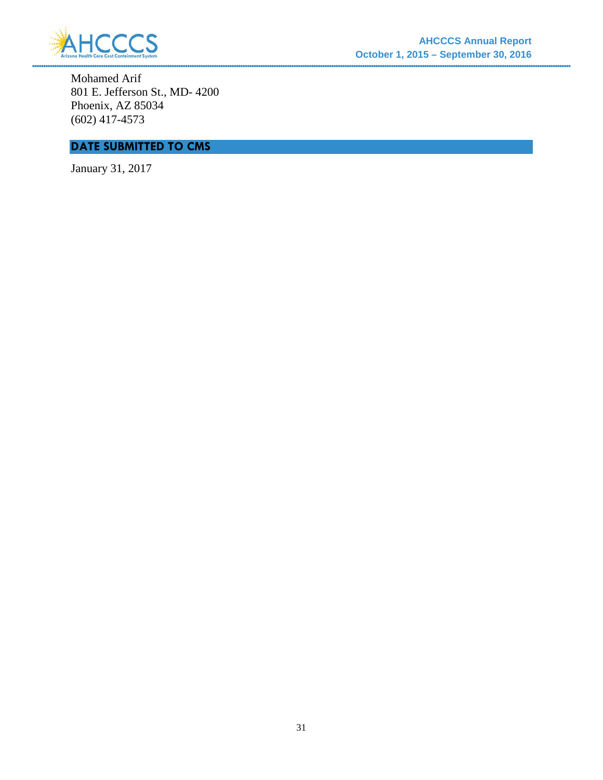

Mohamed Arif 801 E. Jefferson St., MD- 4200 Phoenix, AZ 85034 (602) 417-4573

# **DATE SUBMITTED TO CMS**

January 31, 2017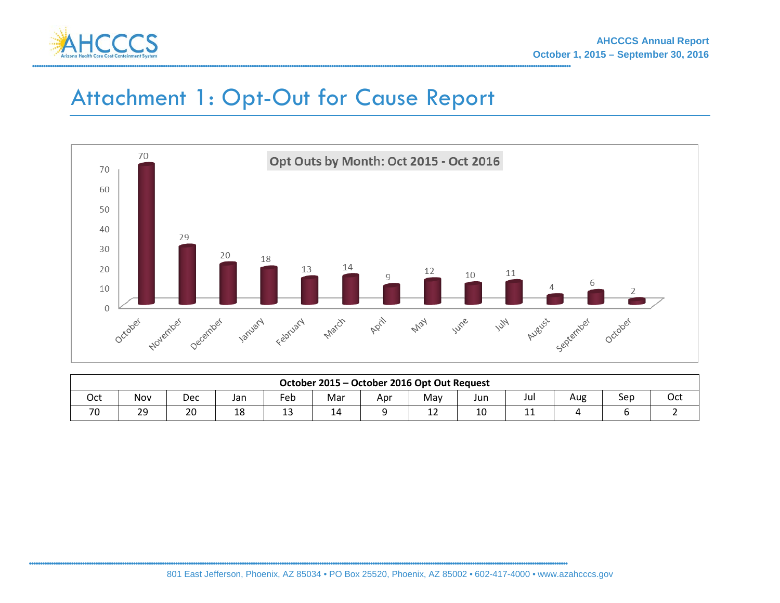

# Attachment 1: Opt-Out for Cause Report



| October 2015 – October 2016 Opt Out Request |     |     |     |     |     |     |     |             |       |     |     |     |
|---------------------------------------------|-----|-----|-----|-----|-----|-----|-----|-------------|-------|-----|-----|-----|
| Oct                                         | Nov | Dec | Jan | Feb | Mar | Apr | Mav | Jun         | Jul   | Aug | Sep | Oct |
| 70                                          | 29  | 20  | 18  | --  | 14  |     | --  | $\sim$<br>∸ | -- -- |     |     |     |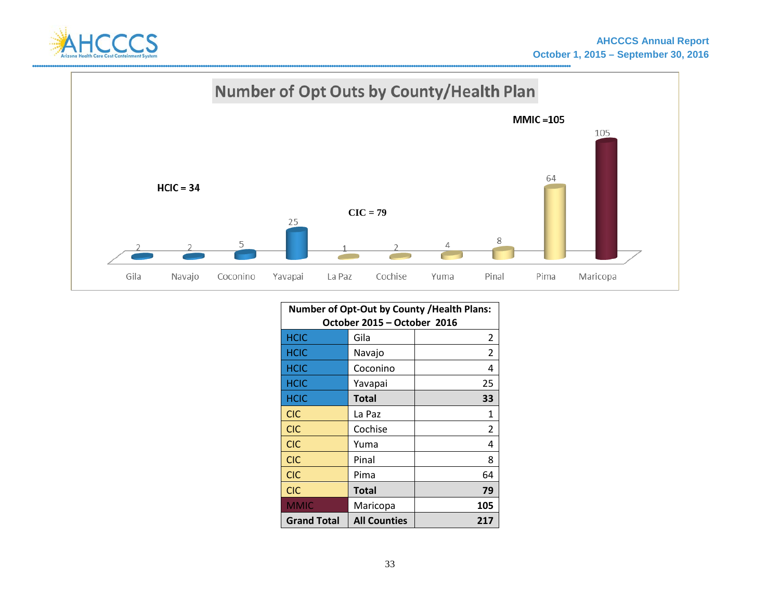



| Number of Opt-Out by County / Health Plans: |                     |                |  |  |  |  |  |
|---------------------------------------------|---------------------|----------------|--|--|--|--|--|
| October 2015 - October 2016                 |                     |                |  |  |  |  |  |
| <b>HCIC</b>                                 | Gila                |                |  |  |  |  |  |
| <b>HCIC</b>                                 | Navajo              | $\overline{2}$ |  |  |  |  |  |
| <b>HCIC</b>                                 | Coconino            | 4              |  |  |  |  |  |
| <b>HCIC</b>                                 | Yavapai             | 25             |  |  |  |  |  |
| <b>HCIC</b>                                 | <b>Total</b>        | 33             |  |  |  |  |  |
| <b>CIC</b>                                  | La Paz              | 1              |  |  |  |  |  |
| <b>CIC</b>                                  | Cochise             | 2              |  |  |  |  |  |
| <b>CIC</b>                                  | Yuma                | 4              |  |  |  |  |  |
| <b>CIC</b>                                  | Pinal               | 8              |  |  |  |  |  |
| <b>CIC</b>                                  | Pima                | 64             |  |  |  |  |  |
| <b>CIC</b>                                  | <b>Total</b>        | 79             |  |  |  |  |  |
| <b>MMIC</b>                                 | Maricopa            | 105            |  |  |  |  |  |
| <b>Grand Total</b>                          | <b>All Counties</b> | 217            |  |  |  |  |  |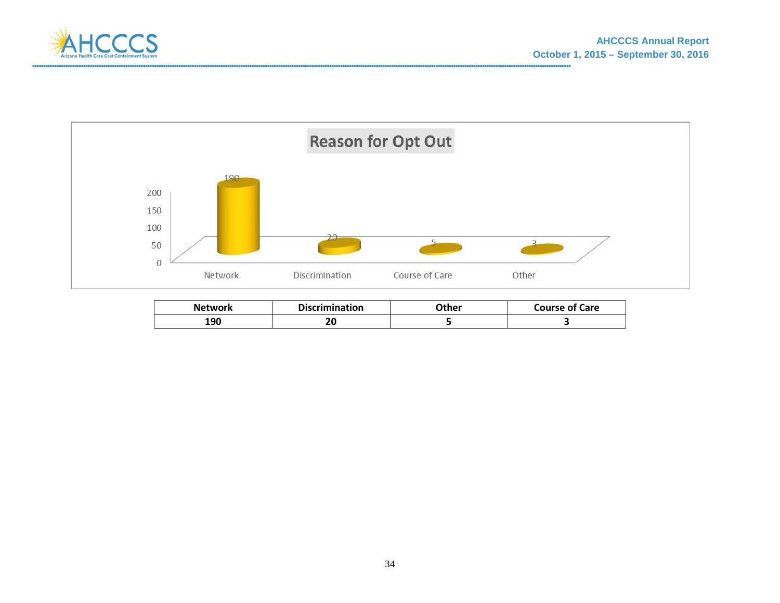



| <b>Network</b> | <b>Discrimination</b> | <b>)ther</b> | <b>Course of Care</b> |
|----------------|-----------------------|--------------|-----------------------|
| 190            | ה ר<br>δu             |              |                       |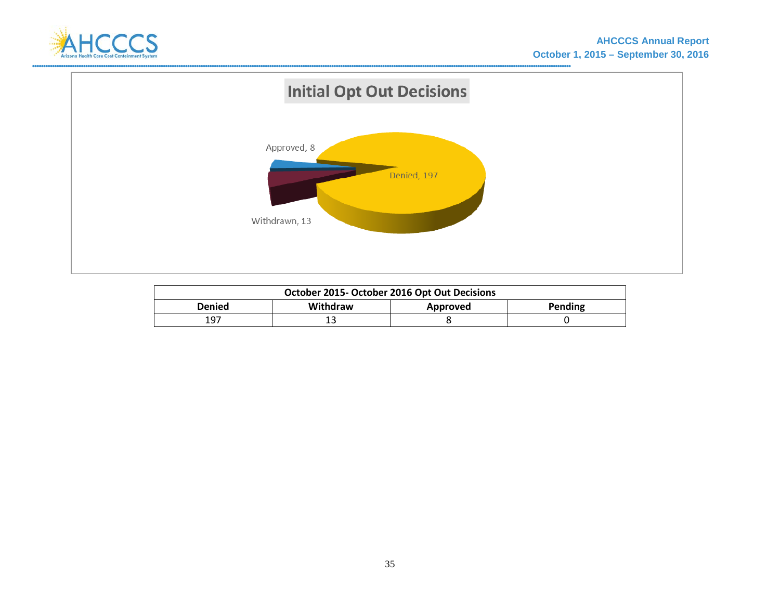



| October 2015- October 2016 Opt Out Decisions |                                 |  |  |  |  |  |  |  |  |  |  |
|----------------------------------------------|---------------------------------|--|--|--|--|--|--|--|--|--|--|
| Denied                                       | Withdraw<br>Pending<br>Approved |  |  |  |  |  |  |  |  |  |  |
| 197<br>∸                                     |                                 |  |  |  |  |  |  |  |  |  |  |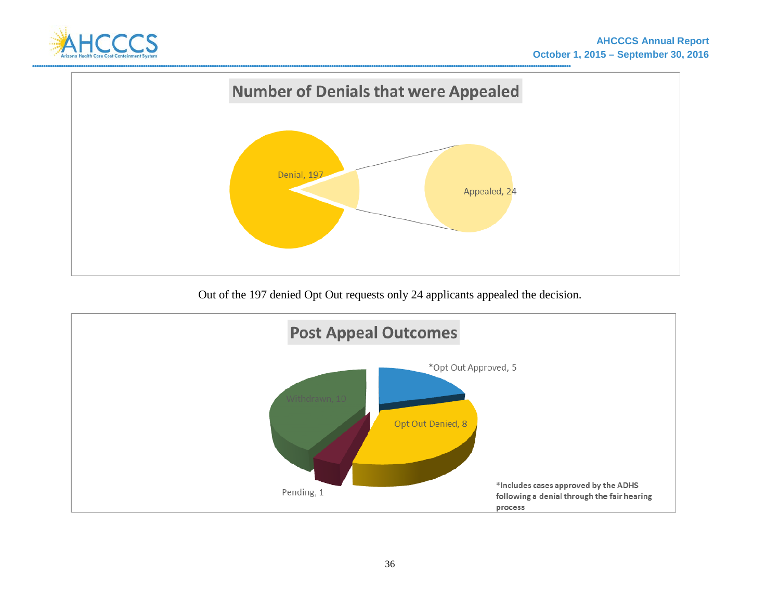



Out of the 197 denied Opt Out requests only 24 applicants appealed the decision.

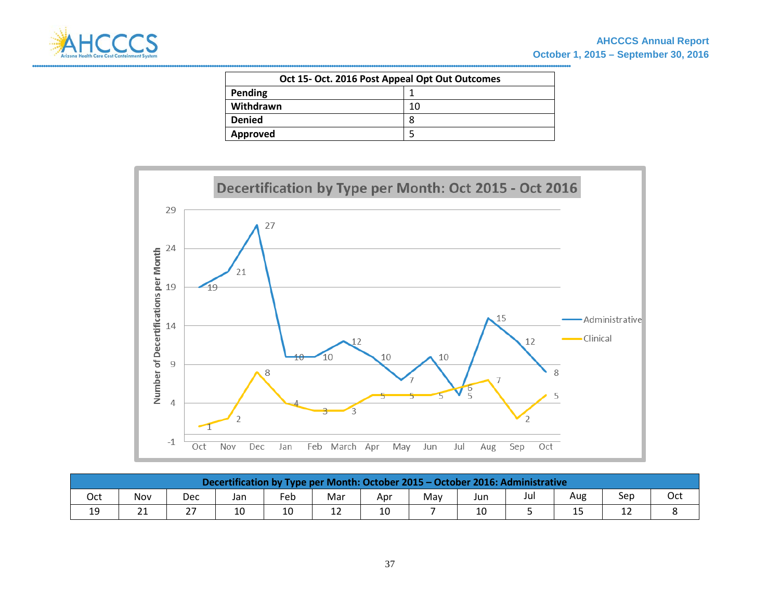

| Oct 15- Oct. 2016 Post Appeal Opt Out Outcomes |    |  |  |  |  |  |  |  |  |
|------------------------------------------------|----|--|--|--|--|--|--|--|--|
| Pending                                        |    |  |  |  |  |  |  |  |  |
| Withdrawn                                      | 10 |  |  |  |  |  |  |  |  |
| <b>Denied</b>                                  | 8  |  |  |  |  |  |  |  |  |
| Approved                                       |    |  |  |  |  |  |  |  |  |



|         | Decertification by Type per Month: October 2015 - October 2016: Administrative |     |     |     |     |     |     |     |     |     |     |     |  |  |
|---------|--------------------------------------------------------------------------------|-----|-----|-----|-----|-----|-----|-----|-----|-----|-----|-----|--|--|
| Oct     | Nov                                                                            | Dec | Jan | Feb | Mar | Apr | May | Jur | Jul | Aug | Sep | Oct |  |  |
| 19<br>ᅩ | 21<br>ᅀ                                                                        | າາ  | 10  | 10  | ᅩ   | 10  |     | 10  |     | ر⊥  | ∸∸  |     |  |  |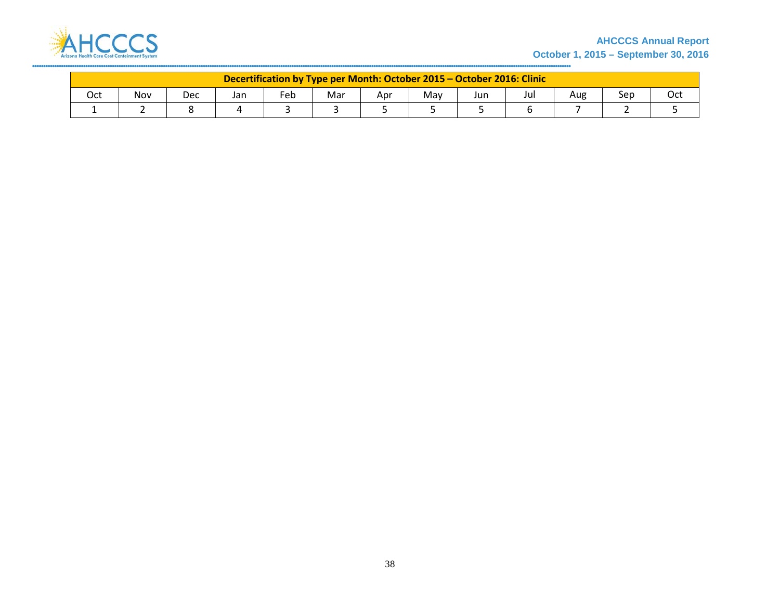

### **AHCCCS Annual Report October 1, 2015 – September 30, 2016**

|     | Decertification by Type per Month: October 2015 - October 2016: Clinic |     |     |     |     |     |     |     |     |     |     |     |  |  |
|-----|------------------------------------------------------------------------|-----|-----|-----|-----|-----|-----|-----|-----|-----|-----|-----|--|--|
| Oct | Nov                                                                    | Dec | Jan | Feb | Mar | Apr | May | Jur | Jul | Aug | Sep | Oct |  |  |
|     |                                                                        |     |     |     |     |     |     |     |     |     |     |     |  |  |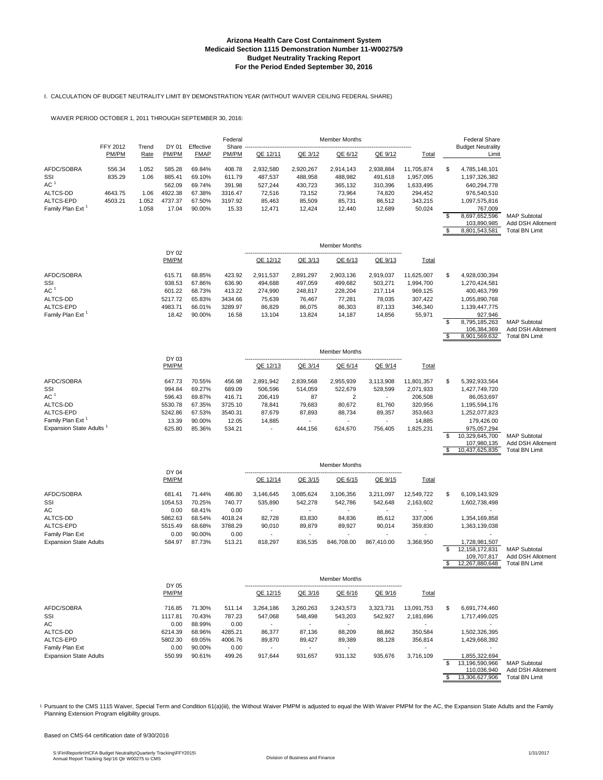#### I. CALCULATION OF BUDGET NEUTRALITY LIMIT BY DEMONSTRATION YEAR (WITHOUT WAIVER CEILING FEDERAL SHARE)

WAIVER PERIOD OCTOBER 1, 2011 THROUGH SEPTEMBER 30, 2016:

|                                                                                               | FFY 2012                    |                       | DY 01                                                     | Effective                                                | Federal<br>Share                                          |                                                               |                                                               | <b>Member Months</b>                                          |                                                               |                                                                    |                | <b>Federal Share</b>                                                                                                                        |                                                                  |
|-----------------------------------------------------------------------------------------------|-----------------------------|-----------------------|-----------------------------------------------------------|----------------------------------------------------------|-----------------------------------------------------------|---------------------------------------------------------------|---------------------------------------------------------------|---------------------------------------------------------------|---------------------------------------------------------------|--------------------------------------------------------------------|----------------|---------------------------------------------------------------------------------------------------------------------------------------------|------------------------------------------------------------------|
|                                                                                               | PM/PM                       | Trend<br>Rate         | PM/PM                                                     | <b>FMAP</b>                                              | PM/PM                                                     | QE 12/11                                                      | QE 3/12                                                       | QE 6/12                                                       | QE 9/12                                                       | Total                                                              |                | <b>Budget Neutrality</b><br>Limit                                                                                                           |                                                                  |
| AFDC/SOBRA<br>SSI<br>AC <sup>1</sup><br>ALTCS-DD<br>ALTCS-EPD                                 | 556.34<br>835.29<br>4643.75 | 1.052<br>1.06<br>1.06 | 585.28<br>885.41<br>562.09<br>4922.38<br>4737.37          | 69.84%<br>69.10%<br>69.74%<br>67.38%                     | 408.78<br>611.79<br>391.98<br>3316.47                     | 2,932,580<br>487,537<br>527,244<br>72,516                     | 2,920,267<br>488,958<br>430,723<br>73,152                     | 2,914,143<br>488,982<br>365,132<br>73,964                     | 2,938,884<br>491,618<br>310,396<br>74,820                     | 11,705,874<br>1,957,095<br>1,633,495<br>294,452                    | \$             | 4,785,148,101<br>1,197,326,382<br>640,294,778<br>976,540,510                                                                                |                                                                  |
| Family Plan Ext <sup>1</sup>                                                                  | 4503.21                     | 1.052<br>1.058        | 17.04                                                     | 67.50%<br>90.00%                                         | 3197.92<br>15.33                                          | 85,463<br>12,471                                              | 85,509<br>12,424                                              | 85,731<br>12,440                                              | 86,512<br>12,689                                              | 343,215<br>50,024                                                  | \$<br>S        | 1,097,575,816<br>767,009<br>8,697,652,596<br>103,890,985<br>8,801,543,581                                                                   | <b>MAP Subtotal</b><br>Add DSH Allotmen<br><b>Total BN Limit</b> |
|                                                                                               |                             |                       |                                                           |                                                          |                                                           |                                                               |                                                               | <b>Member Months</b>                                          |                                                               |                                                                    |                |                                                                                                                                             |                                                                  |
|                                                                                               |                             |                       | DY 02<br>PM/PM                                            |                                                          |                                                           | QE 12/12                                                      | QE 3/13                                                       | QE 6/13                                                       | QE 9/13                                                       | Total                                                              |                |                                                                                                                                             |                                                                  |
| AFDC/SOBRA<br>SSI<br>AC <sup>1</sup><br>ALTCS-DD<br>ALTCS-EPD<br>Family Plan Ext <sup>1</sup> |                             |                       | 615.71<br>938.53<br>601.22<br>5217.72<br>4983.71<br>18.42 | 68.85%<br>67.86%<br>68.73%<br>65.83%<br>66.01%<br>90.00% | 423.92<br>636.90<br>413.22<br>3434.66<br>3289.97<br>16.58 | 2,911,537<br>494,688<br>274,990<br>75,639<br>86,829<br>13,104 | 2,891,297<br>497,059<br>248,817<br>76,467<br>86,075<br>13,824 | 2,903,136<br>499,682<br>228,204<br>77,281<br>86,303<br>14,187 | 2,919,037<br>503,271<br>217,114<br>78,035<br>87,133<br>14,856 | 11,625,007<br>1,994,700<br>969,125<br>307,422<br>346,340<br>55,971 | \$<br>\$<br>\$ | 4,928,030,394<br>1,270,424,581<br>400,463,799<br>1,055,890,768<br>1,139,447,775<br>927,946<br>8,795,185,263<br>106,384,369<br>8,901,569,632 | <b>MAP Subtotal</b><br>Add DSH Allotmen<br><b>Total BN Limit</b> |
|                                                                                               |                             |                       | DY 03                                                     |                                                          |                                                           |                                                               |                                                               | <b>Member Months</b>                                          |                                                               |                                                                    |                |                                                                                                                                             |                                                                  |
|                                                                                               |                             |                       | PM/PM                                                     |                                                          |                                                           | QE 12/13                                                      | QE 3/14                                                       | QE 6/14                                                       | QE 9/14                                                       | Total                                                              |                |                                                                                                                                             |                                                                  |
| AFDC/SOBRA<br>SSI<br>AC <sup>1</sup><br>ALTCS-DD                                              |                             |                       | 647.73<br>994.84<br>596.43<br>5530.78                     | 70.55%<br>69.27%<br>69.87%<br>67.35%                     | 456.98<br>689.09<br>416.71<br>3725.10                     | 2,891,942<br>506,596<br>206,419<br>78,841                     | 2,839,568<br>514,059<br>87<br>79,683                          | 2,955,939<br>522,679<br>2<br>80,672                           | 3,113,908<br>528,599<br>81,760                                | 11,801,357<br>2,071,933<br>206,508<br>320,956                      | s.             | 5,392,933,564<br>1,427,749,720<br>86,053,697<br>1,195,594,176                                                                               |                                                                  |

ALTCS-EPD 5242.86 67.53% 3540.31 87,679 87,893 88,734 89,357 353,663 1,252,077,823<br>
Family Plan Ext<sup>1</sup> 13.39 90.00% 12.05 14,885 14,885 179,426.00 13.39 90.00% 12.05 14,885 14,885 14,885 14,885 179,426.00<br>624,670 756,405 1,825,231 975,057,294 179,825,231 1505,057,294 Expansion State Adults 1 625.80 85.36% 534.21 - 444,156 624,670 756,405 1,825,231 10,329,645,700<br>107,980,135  $\frac{107,980,135}{10,329,645,700}$  MAP Subtotal<br>107,980,135 Add DSH Allotment<br>5 10,437,625,835 Total BN Limit 10,437,625,835

|                               |                |        |         |                          |                          | <b>Member Months</b>     |            |                          |     |                |                       |
|-------------------------------|----------------|--------|---------|--------------------------|--------------------------|--------------------------|------------|--------------------------|-----|----------------|-----------------------|
|                               | DY 04<br>PM/PM |        |         | QE 12/14                 | QE 3/15                  | QE 6/15                  | QE 9/15    | <b>Total</b>             |     |                |                       |
| AFDC/SOBRA                    | 681.41         | 71.44% | 486.80  | 3.146.645                | 3.085.624                | 3,106,356                | 3,211,097  | 12.549.722               | \$. | 6.109.143.929  |                       |
| SSI                           | 1054.53        | 70.25% | 740.77  | 535.890                  | 542.278                  | 542.786                  | 542,648    | 2,163,602                |     | 1.602.738.498  |                       |
| AC                            | 0.00           | 68.41% | 0.00    |                          | ٠                        |                          |            |                          |     |                |                       |
| ALTCS-DD                      | 5862.63        | 68.54% | 4018.24 | 82.728                   | 83.830                   | 84.836                   | 85.612     | 337.006                  |     | 1.354.169.858  |                       |
| ALTCS-EPD                     | 5515.49        | 68.68% | 3788.29 | 90,010                   | 89,879                   | 89,927                   | 90,014     | 359,830                  |     | 1,363,139,038  |                       |
| Family Plan Ext               | 0.00           | 90.00% | 0.00    | $\overline{\phantom{a}}$ | $\overline{\phantom{a}}$ | $\overline{\phantom{a}}$ |            | $\overline{\phantom{a}}$ |     |                |                       |
| <b>Expansion State Adults</b> | 584.97         | 87.73% | 513.21  | 818.297                  | 836.535                  | 846.708.00               | 867.410.00 | 3,368,950                |     | 1,728,981,507  |                       |
|                               |                |        |         |                          |                          |                          |            |                          |     | 12.158.172.831 | <b>MAP Subtotal</b>   |
|                               |                |        |         |                          |                          |                          |            |                          |     | 109.707.817    | Add DSH Allotmen      |
|                               |                |        |         |                          |                          |                          |            |                          |     | 12.267.880.648 | <b>Total BN Limit</b> |

|                               |                |        |         |                          |                          | <b>Member Months</b>     |           |                          |    |                          |                       |
|-------------------------------|----------------|--------|---------|--------------------------|--------------------------|--------------------------|-----------|--------------------------|----|--------------------------|-----------------------|
|                               | DY 05<br>PM/PM |        |         | QE 12/15                 | QE 3/16                  | QE 6/16                  | QE 9/16   | <b>Total</b>             |    |                          |                       |
| AFDC/SOBRA                    | 716.85         | 71.30% | 511.14  | 3,264,186                | 3,260,263                | 3,243,573                | 3,323,731 | 13,091,753               | S. | 6,691,774,460            |                       |
| SSI                           | 1117.81        | 70.43% | 787.23  | 547,068                  | 548.498                  | 543,203                  | 542,927   | 2,181,696                |    | 1,717,499,025            |                       |
| AC                            | 0.00           | 88.99% | 0.00    |                          | $\overline{\phantom{a}}$ | $\overline{\phantom{a}}$ |           |                          |    | $\overline{\phantom{a}}$ |                       |
| ALTCS-DD                      | 6214.39        | 68.96% | 4285.21 | 86,377                   | 87,136                   | 88,209                   | 88,862    | 350,584                  |    | 1,502,326,395            |                       |
| ALTCS-EPD                     | 5802.30        | 69.05% | 4006.76 | 89,870                   | 89,427                   | 89,389                   | 88.128    | 356,814                  |    | 1,429,668,392            |                       |
| Family Plan Ext               | 0.00           | 90.00% | 0.00    | $\overline{\phantom{a}}$ | $\overline{\phantom{0}}$ | $\overline{\phantom{0}}$ |           | $\overline{\phantom{a}}$ |    | $\overline{\phantom{a}}$ |                       |
| <b>Expansion State Adults</b> | 550.99         | 90.61% | 499.26  | 917.644                  | 931.657                  | 931.132                  | 935.676   | 3.716.109                |    | 1.855.322.694            |                       |
|                               |                |        |         |                          |                          |                          |           |                          |    | 13,196,590,966           | <b>MAP Subtotal</b>   |
|                               |                |        |         |                          |                          |                          |           |                          |    | 110.036.940              | Add DSH Allotment     |
|                               |                |        |         |                          |                          |                          |           |                          |    | 13,306,627,906           | <b>Total BN Limit</b> |

1 Pursuant to the CMS 1115 Waiver, Special Term and Condition 61(a)(iii), the Without Waiver PMPM is adjusted to equal the With Waiver PMPM for the AC, the Expansion State Adults and the Family Planning Extension Program eligibility groups.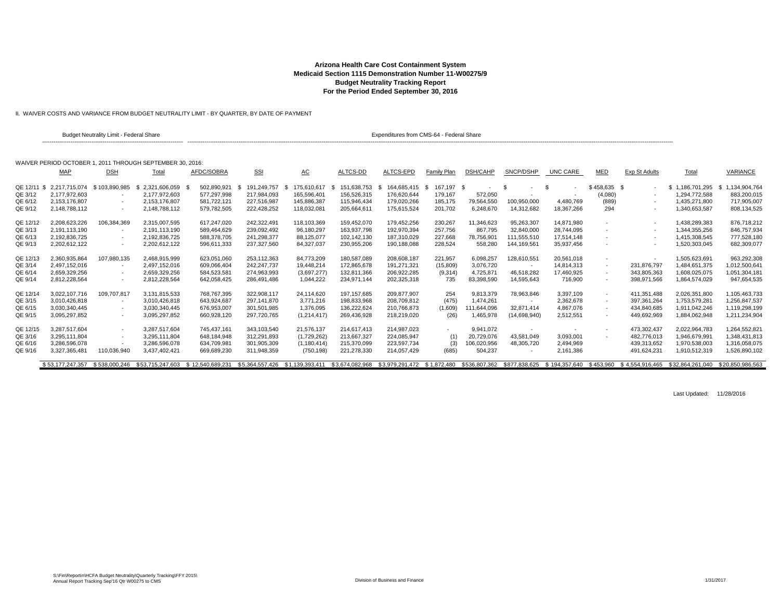II. WAIVER COSTS AND VARIANCE FROM BUDGET NEUTRALITY LIMIT - BY QUARTER, BY DATE OF PAYMENT

|             |                             | <b>Budget Neutrality Limit - Federal Share</b> |                                                           |                  |                     |                 |                     | Expenditures from CMS-64 - Federal Share |             |                          |                             |               |                          |                      |                  |                  |
|-------------|-----------------------------|------------------------------------------------|-----------------------------------------------------------|------------------|---------------------|-----------------|---------------------|------------------------------------------|-------------|--------------------------|-----------------------------|---------------|--------------------------|----------------------|------------------|------------------|
|             |                             |                                                | WAIVER PERIOD OCTOBER 1, 2011 THROUGH SEPTEMBER 30, 2016: |                  |                     |                 |                     |                                          |             |                          |                             |               |                          |                      |                  |                  |
|             | MAP                         | <b>DSH</b>                                     | Total                                                     | AFDC/SOBRA       | <b>SSI</b>          | <u>AC</u>       | ALTCS-DD            | ALTCS-EPD                                | Family Plan | DSH/CAHP                 | SNCP/DSHP                   | UNC CARE      | MED                      | <b>Exp St Adults</b> | Total            | <b>VARIANCE</b>  |
| QE 12/11 \$ | 2,217,715,074 \$103,890,985 |                                                | $$2,321,606,059$ \$                                       | 502,890,921      | 191,249,757<br>- SS | 175,610,617     | 151,638,753<br>- \$ | 164,685,415 \$<br>- \$                   | 167,197 \$  | $\overline{\phantom{a}}$ | - \$                        | - \$          | $$458,635$ \$            | $\sim$               | \$1,186,701,295  | \$1,134,904,764  |
| QE 3/12     | 2.177.972.603               |                                                | 2.177.972.603                                             | 577,297,998      | 217,984,093         | 165.596.401     | 156.526.315         | 176.620.644                              | 179,167     | 572,050                  |                             |               | (4,080)                  | $\sim$               | 1.294.772.588    | 883,200,015      |
| QE 6/12     | 2.153.176.807               | $\sim$                                         | 2,153,176,807                                             | 581,722,121      | 227,516,987         | 145,886,387     | 115.946.434         | 179,020,266                              | 185,175     | 79,564,550               | 100,950,000                 | 4,480,769     | (889)                    |                      | 1,435,271,800    | 717,905,007      |
| QE 9/12     | 2.148.788.112               | $\sim$                                         | 2.148.788.112                                             | 579,782,505      | 222,428,252         | 118,032,081     | 205.664.611         | 175,615,524                              | 201.702     | 6,248,670                | 14,312,682                  | 18.367.266    | 294                      |                      | 1,340,653,587    | 808,134,525      |
| QE 12/12    | 2,208,623,226               | 106,384,369                                    | 2,315,007,595                                             | 617,247,020      | 242,322,491         | 118,103,369     | 159,452,070         | 179,452,256                              | 230,267     | 11,346,623               | 95,263,307                  | 14,871,980    | $\sim$                   | $\sim$               | 1,438,289,383    | 876,718,212      |
| QE 3/13     | 2,191,113,190               |                                                | 2.191.113.190                                             | 589.464.629      | 239,092,492         | 96,180,297      | 163.937.798         | 192,970,394                              | 257,756     | 867,795                  | 32,840,000                  | 28.744.095    |                          | $\sim$               | 1.344.355.256    | 846.757.934      |
| QE 6/13     | 2,192,836,725               | $\overline{\phantom{a}}$                       | 2,192,836,725                                             | 588.378.705      | 241,298,377         | 88,125,077      | 102.142.130         | 187,310,029                              | 227,668     | 78,756,901               | 111,555,510                 | 17.514.148    | $\sim$                   | $\sim$               | 1,415,308,545    | 777,528,180      |
| QE 9/13     | 2,202,612,122               |                                                | 2,202,612,122                                             | 596,611,333      | 237,327,560         | 84,327,037      | 230,955,206         | 190,188,088                              | 228,524     | 558,280                  | 144,169,561                 | 35,937,456    |                          |                      | 1,520,303,045    | 682,309,077      |
| QE 12/13    | 2,360,935,864               | 107,980,135                                    | 2,468,915,999                                             | 623,051,060      | 253,112,363         | 84,773,209      | 180,587,089         | 208,608,187                              | 221,957     | 6,098,257                | 128,610,551                 | 20,561,018    | $\overline{\phantom{a}}$ | $\sim$               | 1,505,623,691    | 963,292,308      |
| QE 3/14     | 2.497.152.016               |                                                | 2.497.152.016                                             | 609.066.404      | 242.247.737         | 19.448.214      | 172.865.678         | 191.271.321                              | (15,809)    | 3.076.720                |                             | 14.814.313    | $\sim$                   | 231.876.797          | 1.484.651.375    | 1.012.500.641    |
| QE 6/14     | 2.659.329.256               | $\sim$                                         | 2.659.329.256                                             | 584.523.581      | 274,963,993         | (3,697,277)     | 132.811.366         | 206,922,285                              | (9,314)     | 4,725,871                | 46,518,282                  | 17,460,925    | ٠                        | 343,805,363          | 1.608.025.075    | 1,051,304,181    |
| QE 9/14     | 2,812,228,564               |                                                | 2,812,228,564                                             | 642,058,425      | 286,491,486         | 1,044,222       | 234,971,144         | 202,325,318                              | 735         | 83,398,590               | 14,595,643                  | 716,900       |                          | 398,971,566          | 1,864,574,029    | 947,654,535      |
| QE 12/14    | 3.022.107.716               | 109,707,817                                    | 3,131,815,533                                             | 768,767,395      | 322,908,117         | 24,114,620      | 197, 157, 685       | 209,877,907                              | 254         | 9,813,379                | 78,963,846                  | 3,397,109     | $\sim$                   | 411,351,488          | 2,026,351,800    | 1,105,463,733    |
| QE 3/15     | 3,010,426,818               |                                                | 3,010,426,818                                             | 643,924,687      | 297,141,870         | 3,771,216       | 198,833,968         | 208,709,812                              | (475)       | 1,474,261                |                             | 2,362,678     | $\sim$                   | 397,361,264          | 1,753,579,281    | 1,256,847,537    |
| QE 6/15     | 3.030.340.445               |                                                | 3,030,340,445                                             | 676,953,007      | 301,501,985         | 1,376,095       | 136.222.624         | 210,766,873                              | (1,609)     | 111,644,096              | 32,871,414                  | 4,867,076     |                          | 434,840,685          | 1.911.042.246    | 1,119,298,199    |
| QE 9/15     | 3,095,297,852               | ٠                                              | 3,095,297,852                                             | 660,928,120      | 297,720,765         | (1,214,417)     | 269,436,928         | 218,219,020                              | (26)        | 1,465,978                | (14,698,940)                | 2,512,551     | $\sim$                   | 449,692,969          | 1,884,062,948    | 1,211,234,904    |
| QE 12/15    | 3.287.517.604               | ٠                                              | 3.287.517.604                                             | 745.437.161      | 343,103,540         | 21,576,137      | 214.617.413         | 214,987,023                              |             | 9,941,072                |                             |               | $\sim$                   | 473,302,437          | 2,022,964,783    | 1,264,552,821    |
| QE 3/16     | 3.295.111.804               |                                                | 3.295.111.804                                             | 648,184,948      | 312,291,893         | (1,729,262)     | 213,667,327         | 224,085,947                              | (1)         | 20,729,076               | 43,581,049                  | 3,093,001     |                          | 482,776,013          | 1.946.679.991    | 1,348,431,813    |
| QE 6/16     | 3.286.596.078               |                                                | 3.286.596.078                                             | 634,709,981      | 301,905,309         | (1, 180, 414)   | 215.370.099         | 223,597,734                              | (3)         | 106,020,956              | 48,305,720                  | 2,494,969     |                          | 439,313,652          | 1.970.538.003    | 1,316,058,075    |
| QE 9/16     | 3,327,365,481               | 110,036,940                                    | 3,437,402,421                                             | 669,689,230      | 311,948,359         | (750, 198)      | 221,278,330         | 214,057,429                              | (685)       | 504,237                  |                             | 2,161,386     |                          | 491,624,231          | 1,910,512,319    | 1,526,890,102    |
|             | \$53.177.247.357            | \$538,000.246                                  | \$53.715.247.603                                          | \$12.540.689.231 | \$5.364.557.426     | \$1.139.393.411 | \$3,674,082,968     | \$3.979.291.472 \$1.872.480              |             |                          | \$536.807.362 \$877.838.625 | \$194,357,640 | \$453.960                | \$4.554.916.465      | \$32.864.261.040 | \$20,850,986,563 |

Last Updated: 11/28/2016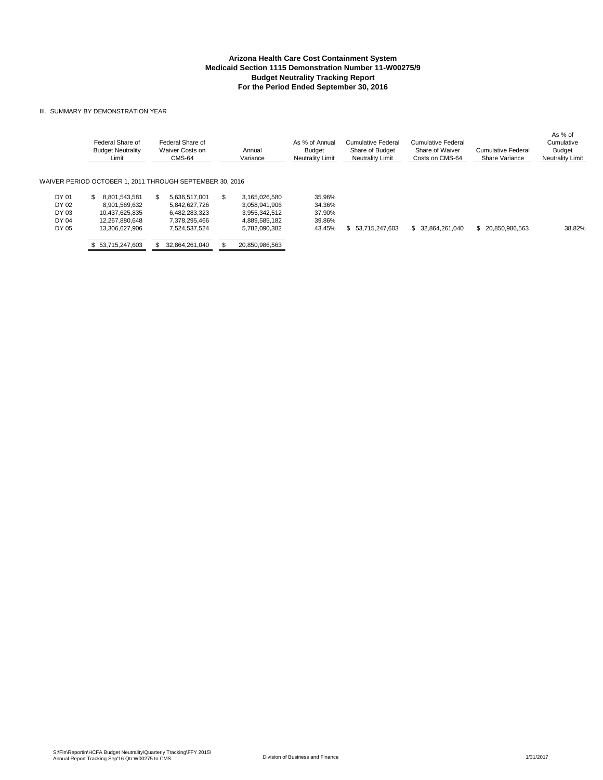#### III. SUMMARY BY DEMONSTRATION YEAR

|                         | Federal Share of<br><b>Budget Neutrality</b><br>Limit | Federal Share of<br>Waiver Costs on<br>CMS-64            | Annual<br>Variance                              | As % of Annual<br><b>Budget</b><br><b>Neutrality Limit</b> | Cumulative Federal<br>Share of Budget<br>Neutrality Limit | Cumulative Federal<br>Share of Waiver<br>Costs on CMS-64 | Cumulative Federal<br>Share Variance | As % of<br>Cumulative<br>Budget<br><b>Neutrality Limit</b> |
|-------------------------|-------------------------------------------------------|----------------------------------------------------------|-------------------------------------------------|------------------------------------------------------------|-----------------------------------------------------------|----------------------------------------------------------|--------------------------------------|------------------------------------------------------------|
|                         |                                                       | WAIVER PERIOD OCTOBER 1. 2011 THROUGH SEPTEMBER 30. 2016 |                                                 |                                                            |                                                           |                                                          |                                      |                                                            |
| DY 01<br>DY 02          | 8.801.543.581<br>SS.<br>8.901.569.632                 | 5.636.517.001<br>5.842.627.726                           | 3.165.026.580<br>S.<br>3.058.941.906            | 35.96%<br>34.36%                                           |                                                           |                                                          |                                      |                                                            |
| DY 03<br>DY 04<br>DY 05 | 10.437.625.835<br>12.267.880.648<br>13.306.627.906    | 6.482.283.323<br>7.378.295.466<br>7,524,537,524          | 3.955.342.512<br>4.889.585.182<br>5,782,090,382 | 37.90%<br>39.86%<br>43.45%                                 | \$ 53.715.247.603                                         | \$ 32.864.261.040                                        | \$<br>20.850.986.563                 | 38.82%                                                     |
|                         | 53.715.247.603                                        | 32.864.261.040                                           | 20,850,986,563                                  |                                                            |                                                           |                                                          |                                      |                                                            |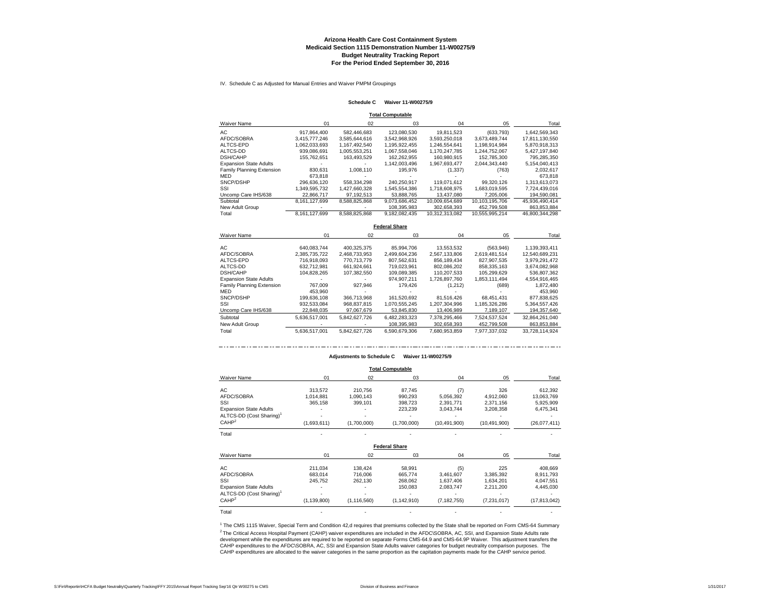IV. Schedule C as Adjusted for Manual Entries and Waiver PMPM Groupings

#### **Schedule C Waiver 11-W00275/9**

**Total Computable**

| <b>Waiver Name</b>            | 01            | 02            | 03            | 04             | 05             | Total          |
|-------------------------------|---------------|---------------|---------------|----------------|----------------|----------------|
| AC.                           | 917.864.400   | 582.446.683   | 123.080.530   | 19.811.523     | (633.793)      | 1.642.569.343  |
| AFDC/SOBRA                    | 3.415.777.246 | 3.585.644.616 | 3.542.968.926 | 3.593.250.018  | 3.673.489.744  | 17.811.130.550 |
| ALTCS-EPD                     | 1.062.033.693 | 1.167.492.540 | 1.195.922.455 | 1.246.554.641  | 1.198.914.984  | 5.870.918.313  |
| ALTCS-DD                      | 939.086.691   | 1.005.553.251 | 1.067.558.046 | 1.170.247.785  | 1.244.752.067  | 5.427.197.840  |
| <b>DSH/CAHP</b>               | 155.762.651   | 163,493,529   | 162.262.955   | 160.980.915    | 152.785.300    | 795.285.350    |
| <b>Expansion State Adults</b> |               |               | 1.142.003.496 | 1.967.693.477  | 2.044.343.440  | 5.154.040.413  |
| Family Planning Extension     | 830.631       | 1.008.110     | 195.976       | (1, 337)       | (763)          | 2.032.617      |
| <b>MED</b>                    | 673.818       |               |               |                |                | 673.818        |
| SNCP/DSHP                     | 296.636.120   | 558.334.298   | 240.250.917   | 119.071.612    | 99.320.126     | 1.313.613.073  |
| SSI                           | 1.349.595.732 | 1.427.660.328 | 1.545.554.386 | 1.718.608.975  | 1.683.019.595  | 7.724.439.016  |
| Uncomp Care IHS/638           | 22.866.717    | 97.192.513    | 53.888.765    | 13.437.080     | 7.205.006      | 194.590.081    |
| Subtotal                      | 8.161.127.699 | 8.588.825.868 | 9.073.686.452 | 10.009.654.689 | 10.103.195.706 | 45.936.490.414 |
| New Adult Group               |               |               | 108.395.983   | 302.658.393    | 452.799.508    | 863.853.884    |
| Total                         | 8.161.127.699 | 8.588.825.868 | 9.182.082.435 | 10.312.313.082 | 10.555.995.214 | 46.800.344.298 |

**Federal Share**

| <b>Waiver Name</b>            | 01            | 02            | 03            | 04            | 05            | Total          |
|-------------------------------|---------------|---------------|---------------|---------------|---------------|----------------|
|                               |               |               |               |               |               |                |
| AC.                           | 640.083.744   | 400.325.375   | 85.994.706    | 13.553.532    | (563, 946)    | 1.139.393.411  |
| AFDC/SOBRA                    | 2.385.735.722 | 2.468.733.953 | 2.499.604.236 | 2.567.133.806 | 2.619.481.514 | 12.540.689.231 |
| ALTCS-EPD                     | 716.918.093   | 770.713.779   | 807.562.631   | 856.189.434   | 827.907.535   | 3.979.291.472  |
| ALTCS-DD                      | 632.712.981   | 661.924.661   | 719.023.961   | 802.086.202   | 858.335.163   | 3,674,082,968  |
| <b>DSH/CAHP</b>               | 104.828.265   | 107.382.550   | 109.089.385   | 110.207.533   | 105.299.629   | 536.807.362    |
| <b>Expansion State Adults</b> |               |               | 974.907.211   | 1.726.897.760 | 1.853.111.494 | 4,554,916,465  |
| Family Planning Extension     | 767.009       | 927.946       | 179,426       | (1,212)       | (689)         | 1,872,480      |
| MED                           | 453.960       |               |               |               |               | 453.960        |
| SNCP/DSHP                     | 199.636.108   | 366,713,968   | 161.520.692   | 81.516.426    | 68.451.431    | 877.838.625    |
| SSI                           | 932.533.084   | 968.837.815   | 1.070.555.245 | 1.207.304.996 | 1.185.326.286 | 5,364,557,426  |
| Uncomp Care IHS/638           | 22.848.035    | 97.067.679    | 53.845.830    | 13,406,989    | 7.189.107     | 194,357,640    |
| Subtotal                      | 5.636.517.001 | 5.842.627.726 | 6.482.283.323 | 7.378.295.466 | 7.524.537.524 | 32.864.261.040 |
| New Adult Group               |               |               | 108.395.983   | 302.658.393   | 452.799.508   | 863.853.884    |
| Total                         | 5.636.517.001 | 5.842.627.726 | 6.590.679.306 | 7.680.953.859 | 7.977.337.032 | 33.728.114.924 |

#### **Adjustments to Schedule C Waiver 11-W00275/9**

**Total Computable**

|                                      |               |               | TULAI UUITIPULADIG   |                |                |                |
|--------------------------------------|---------------|---------------|----------------------|----------------|----------------|----------------|
| <b>Waiver Name</b>                   | 01            | 02            | 03                   | 04             | 05             | Total          |
| AC                                   | 313,572       | 210,756       | 87,745               | (7)            | 326            | 612,392        |
| AFDC/SOBRA                           | 1,014,881     | 1,090,143     | 990,293              | 5,056,392      | 4,912,060      | 13,063,769     |
| SSI                                  | 365,158       | 399,101       | 398,723              | 2,391,771      | 2,371,156      | 5,925,909      |
| <b>Expansion State Adults</b>        |               |               | 223,239              | 3,043,744      | 3,208,358      | 6,475,341      |
| ALTCS-DD (Cost Sharing) <sup>1</sup> |               |               |                      |                |                |                |
| CAHP <sup>2</sup>                    | (1,693,611)   | (1,700,000)   | (1,700,000)          | (10, 491, 900) | (10, 491, 900) | (26,077,411)   |
| Total                                |               |               |                      |                |                |                |
|                                      |               |               | <b>Federal Share</b> |                |                |                |
| <b>Waiver Name</b>                   | 01            | 02            | 03                   | 04             | 05             | Total          |
| AC                                   | 211,034       | 138,424       | 58,991               | (5)            | 225            | 408,669        |
| AFDC/SOBRA                           | 683,014       | 716,006       | 665,774              | 3,461,607      | 3,385,392      | 8,911,793      |
| SSI                                  | 245,752       | 262,130       | 268,062              | 1,637,406      | 1,634,201      | 4,047,551      |
| <b>Expansion State Adults</b>        |               |               | 150,083              | 2,083,747      | 2,211,200      | 4,445,030      |
| ALTCS-DD (Cost Sharing) <sup>1</sup> |               |               |                      |                |                |                |
| CAHP <sup>2</sup>                    | (1, 139, 800) | (1, 116, 560) | (1, 142, 910)        | (7, 182, 755)  | (7, 231, 017)  | (17, 813, 042) |
| Total                                |               |               |                      |                |                |                |

<sup>2</sup> The Critical Access Hospital Payment (CAHP) waiver expenditures are included in the AFDC\SOBRA, AC, SSI, and Expansion State Adults rate<br>development while the expenditures are required to be reported on separate Forms CAHP expenditures to the AFDC\SOBRA, AC, SSI and Expansion State Adults waiver categories for budget neutrality comparison purposes. The CAHP expenditures are allocated to the waiver categories in the same proportion as the capitation payments made for the CAHP service period. <sup>1</sup> The CMS 1115 Waiver, Special Term and Condition 42,d requires that premiums collected by the State shall be reported on Form CMS-64 Summary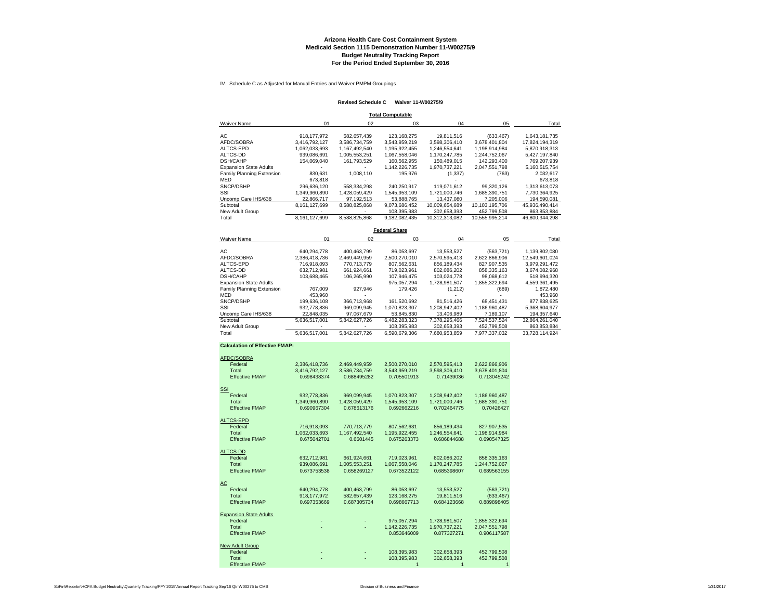#### **Arizona Health Care Cost Containment System Medicaid Section 1115 Demonstration Number 11-W00275/9 Budget Neutrality Tracking Report For the Period Ended September 30, 2016**

IV. Schedule C as Adjusted for Manual Entries and Waiver PMPM Groupings

#### **Revised Schedule C Waiver 11-W00275/9**

| <b>Total Computable</b>       |               |               |               |                |                |                |  |  |  |
|-------------------------------|---------------|---------------|---------------|----------------|----------------|----------------|--|--|--|
| <b>Waiver Name</b>            | 01            | 02            | 03            | 04             | 05             | Total          |  |  |  |
| AC.                           | 918, 177, 972 | 582.657.439   | 123.168.275   | 19,811,516     | (633, 467)     | 1,643,181,735  |  |  |  |
| AFDC/SOBRA                    | 3.416.792.127 | 3.586.734.759 | 3.543.959.219 | 3.598.306.410  | 3.678.401.804  | 17.824.194.319 |  |  |  |
| ALTCS-EPD                     | 1,062,033,693 | 1,167,492,540 | 1,195,922,455 | 1,246,554,641  | 1,198,914,984  | 5,870,918,313  |  |  |  |
| ALTCS-DD                      | 939.086.691   | 1,005,553,251 | 1,067,558,046 | 1.170.247.785  | 1.244.752.067  | 5.427.197.840  |  |  |  |
| <b>DSH/CAHP</b>               | 154.069.040   | 161.793.529   | 160.562.955   | 150.489.015    | 142.293.400    | 769.207.939    |  |  |  |
| <b>Expansion State Adults</b> |               |               | 1.142.226.735 | 1.970.737.221  | 2.047.551.798  | 5,160,515,754  |  |  |  |
| Family Planning Extension     | 830.631       | 1.008.110     | 195.976       | (1,337)        | (763)          | 2.032.617      |  |  |  |
| MED                           | 673.818       |               |               |                |                | 673.818        |  |  |  |
| SNCP/DSHP                     | 296.636.120   | 558.334.298   | 240.250.917   | 119.071.612    | 99.320.126     | 1.313.613.073  |  |  |  |
| SSI                           | 1.349.960.890 | 1.428.059.429 | 1.545.953.109 | 1.721.000.746  | 1.685.390.751  | 7.730.364.925  |  |  |  |
| Uncomp Care IHS/638           | 22.866.717    | 97.192.513    | 53.888.765    | 13.437.080     | 7.205.006      | 194.590.081    |  |  |  |
| Subtotal                      | 8.161.127.699 | 8.588.825.868 | 9.073.686.452 | 10.009.654.689 | 10.103.195.706 | 45,936,490,414 |  |  |  |
| New Adult Group               |               |               | 108.395.983   | 302.658.393    | 452,799,508    | 863.853.884    |  |  |  |
| Total                         | 8.161.127.699 | 8.588.825.868 | 9.182.082.435 | 10.312.313.082 | 10.555.995.214 | 46.800.344.298 |  |  |  |

**Federal Share**

| Waiver Name                   | 01            | 02            | 03            | 04            | 05            | Total          |
|-------------------------------|---------------|---------------|---------------|---------------|---------------|----------------|
| AC.                           | 640.294.778   | 400.463.799   | 86.053.697    | 13.553.527    | (563.721)     | 1.139.802.080  |
| AFDC/SOBRA                    | 2.386.418.736 | 2.469.449.959 | 2.500.270.010 | 2.570.595.413 | 2.622.866.906 | 12.549.601.024 |
| ALTCS-EPD                     | 716.918.093   | 770.713.779   | 807.562.631   | 856.189.434   | 827.907.535   | 3.979.291.472  |
| ALTCS-DD                      | 632.712.981   | 661.924.661   | 719.023.961   | 802.086.202   | 858.335.163   | 3.674.082.968  |
| <b>DSH/CAHP</b>               | 103.688.465   | 106.265.990   | 107.946.475   | 103.024.778   | 98.068.612    | 518.994.320    |
| <b>Expansion State Adults</b> |               |               | 975.057.294   | 1,728,981,507 | 1.855.322.694 | 4.559.361.495  |
| Family Planning Extension     | 767.009       | 927.946       | 179.426       | (1,212)       | (689)         | 1.872.480      |
| <b>MED</b>                    | 453.960       |               |               |               |               | 453.960        |
| SNCP/DSHP                     | 199.636.108   | 366.713.968   | 161.520.692   | 81.516.426    | 68.451.431    | 877.838.625    |
| SSI                           | 932.778.836   | 969.099.945   | 1.070.823.307 | 1.208.942.402 | 1.186.960.487 | 5.368.604.977  |
| Uncomp Care IHS/638           | 22.848.035    | 97.067.679    | 53.845.830    | 13,406,989    | 7.189.107     | 194.357.640    |
| Subtotal                      | 5.636.517.001 | 5.842.627.726 | 6.482.283.323 | 7.378.295.466 | 7.524.537.524 | 32.864.261.040 |
| New Adult Group               |               |               | 108.395.983   | 302.658.393   | 452.799.508   | 863.853.884    |
| Total                         | 5.636.517.001 | 5.842.627.726 | 6.590.679.306 | 7.680.953.859 | 7.977.337.032 | 33.728.114.924 |

#### **Calculation of Effective FMAP:**

| AFDC/SOBRA                    |                              |                              |                              |               |                             |
|-------------------------------|------------------------------|------------------------------|------------------------------|---------------|-----------------------------|
| Federal                       | 2,386,418,736                | 2,469,449,959                | 2,500,270,010                | 2,570,595,413 | 2,622,866,906               |
| Total                         | 3,416,792,127                | 3.586.734.759                | 3,543,959,219                | 3,598,306,410 | 3,678,401,804               |
| <b>Effective FMAP</b>         | 0.698438374                  | 0.688495282                  | 0.705501913                  | 0.71439036    | 0.713045242                 |
|                               |                              |                              |                              |               |                             |
| <b>SSI</b>                    |                              |                              |                              |               |                             |
| Federal<br>Total              | 932,778,836                  | 969,099,945                  | 1,070,823,307                | 1,208,942,402 | 1,186,960,487               |
| <b>Effective FMAP</b>         | 1,349,960,890<br>0.690967304 | 1,428,059,429<br>0.678613176 | 1,545,953,109<br>0.692662216 | 1,721,000,746 | 1,685,390,751<br>0.70426427 |
|                               |                              |                              |                              | 0.702464775   |                             |
| ALTCS-EPD                     |                              |                              |                              |               |                             |
| Federal                       | 716,918,093                  | 770,713,779                  | 807,562,631                  | 856,189,434   | 827,907,535                 |
| Total                         | 1.062.033.693                | 1,167,492,540                | 1,195,922,455                | 1,246,554,641 | 1,198,914,984               |
| <b>Effective FMAP</b>         | 0.675042701                  | 0.6601445                    | 0.675263373                  | 0.686844688   | 0.690547325                 |
| <b>ALTCS-DD</b>               |                              |                              |                              |               |                             |
| Federal                       | 632,712,981                  | 661,924,661                  | 719.023.961                  | 802,086,202   | 858,335,163                 |
| Total                         | 939,086,691                  | 1,005,553,251                | 1,067,558,046                | 1,170,247,785 | 1,244,752,067               |
| <b>Effective FMAP</b>         | 0.673753538                  | 0.658269127                  | 0.673522122                  | 0.685398607   | 0.689563155                 |
| AC                            |                              |                              |                              |               |                             |
| Federal                       | 640.294.778                  | 400,463,799                  | 86,053,697                   | 13,553,527    | (563, 721)                  |
| Total                         | 918.177.972                  | 582.657.439                  | 123, 168, 275                | 19.811.516    | (633, 467)                  |
| <b>Effective FMAP</b>         | 0.697353669                  | 0.687305734                  | 0.698667713                  | 0.684123668   | 0.889898405                 |
|                               |                              |                              |                              |               |                             |
| <b>Expansion State Adults</b> |                              |                              |                              |               |                             |
| Federal                       |                              |                              | 975,057,294                  | 1,728,981,507 | 1,855,322,694               |
| Total                         |                              |                              | 1.142.226.735                | 1,970,737,221 | 2.047.551.798               |
| <b>Effective FMAP</b>         |                              |                              | 0.853646009                  | 0.877327271   | 0.906117587                 |
| New Adult Group               |                              |                              |                              |               |                             |
| Federal                       |                              |                              | 108,395,983                  | 302,658,393   | 452,799,508                 |
| Total                         |                              |                              | 108.395.983                  | 302.658.393   | 452.799.508                 |
| <b>Effective FMAP</b>         |                              |                              |                              |               |                             |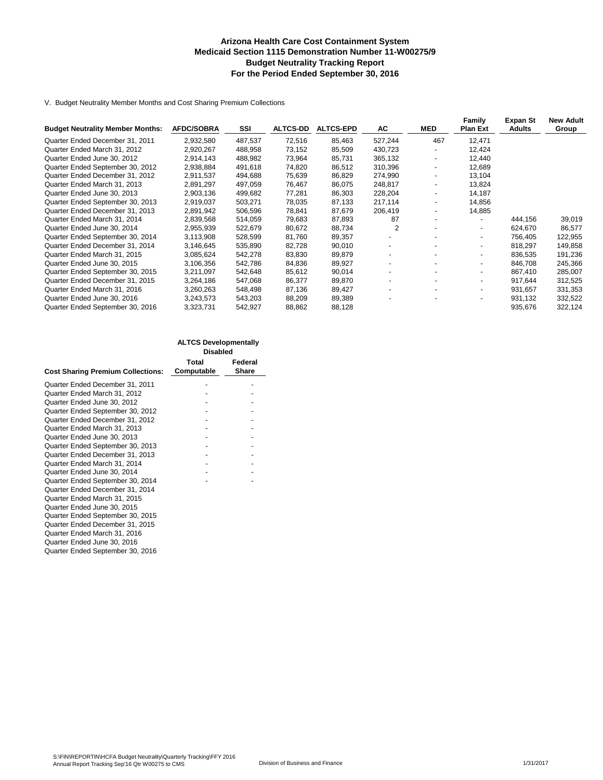#### **Arizona Health Care Cost Containment System Medicaid Section 1115 Demonstration Number 11-W00275/9 Budget Neutrality Tracking Report For the Period Ended September 30, 2016**

V. Budget Neutrality Member Months and Cost Sharing Premium Collections

| <b>Budget Neutrality Member Months:</b> | <b>AFDC/SOBRA</b> | SSI     | <b>ALTCS-DD</b> | <b>ALTCS-EPD</b> | AC             | <b>MED</b>               | Family<br>Plan Ext       | <b>Expan St</b><br><b>Adults</b> | <b>New Adult</b><br>Group |
|-----------------------------------------|-------------------|---------|-----------------|------------------|----------------|--------------------------|--------------------------|----------------------------------|---------------------------|
| Quarter Ended December 31, 2011         | 2,932,580         | 487,537 | 72,516          | 85,463           | 527,244        | 467                      | 12,471                   |                                  |                           |
|                                         |                   |         |                 |                  |                |                          |                          |                                  |                           |
| Quarter Ended March 31, 2012            | 2,920,267         | 488,958 | 73,152          | 85,509           | 430,723        | $\overline{\phantom{a}}$ | 12,424                   |                                  |                           |
| Quarter Ended June 30, 2012             | 2.914.143         | 488,982 | 73,964          | 85.731           | 365,132        |                          | 12.440                   |                                  |                           |
| Quarter Ended September 30, 2012        | 2,938,884         | 491,618 | 74,820          | 86,512           | 310,396        |                          | 12,689                   |                                  |                           |
| Quarter Ended December 31, 2012         | 2,911,537         | 494,688 | 75,639          | 86,829           | 274,990        | $\blacksquare$           | 13,104                   |                                  |                           |
| Quarter Ended March 31, 2013            | 2,891,297         | 497,059 | 76,467          | 86,075           | 248,817        |                          | 13,824                   |                                  |                           |
| Quarter Ended June 30, 2013             | 2,903,136         | 499,682 | 77,281          | 86,303           | 228,204        |                          | 14,187                   |                                  |                           |
| Quarter Ended September 30, 2013        | 2,919,037         | 503,271 | 78,035          | 87,133           | 217,114        | -                        | 14,856                   |                                  |                           |
| Quarter Ended December 31, 2013         | 2,891,942         | 506,596 | 78,841          | 87,679           | 206,419        | ۰.                       | 14,885                   |                                  |                           |
| Quarter Ended March 31, 2014            | 2,839,568         | 514,059 | 79,683          | 87,893           | 87             |                          |                          | 444.156                          | 39,019                    |
| Quarter Ended June 30, 2014             | 2,955,939         | 522,679 | 80,672          | 88,734           | $\overline{2}$ |                          | $\blacksquare$           | 624,670                          | 86,577                    |
| Quarter Ended September 30, 2014        | 3,113,908         | 528,599 | 81,760          | 89,357           |                |                          | $\blacksquare$           | 756.405                          | 122,955                   |
| Quarter Ended December 31, 2014         | 3,146,645         | 535,890 | 82,728          | 90,010           |                |                          | $\overline{\phantom{a}}$ | 818.297                          | 149,858                   |
| Quarter Ended March 31, 2015            | 3,085,624         | 542,278 | 83,830          | 89,879           |                |                          | $\overline{\phantom{a}}$ | 836,535                          | 191,236                   |
| Quarter Ended June 30, 2015             | 3,106,356         | 542,786 | 84,836          | 89,927           |                |                          | $\blacksquare$           | 846,708                          | 245,366                   |
| Quarter Ended September 30, 2015        | 3.211.097         | 542.648 | 85,612          | 90.014           |                |                          | $\sim$                   | 867.410                          | 285,007                   |
| Quarter Ended December 31, 2015         | 3,264,186         | 547,068 | 86,377          | 89,870           |                |                          |                          | 917.644                          | 312,525                   |
| Quarter Ended March 31, 2016            | 3,260,263         | 548,498 | 87,136          | 89,427           |                |                          | $\sim$                   | 931,657                          | 331,353                   |
| Quarter Ended June 30, 2016             | 3,243,573         | 543,203 | 88,209          | 89,389           |                |                          | $\overline{\phantom{a}}$ | 931,132                          | 332,522                   |
| Quarter Ended September 30, 2016        | 3,323,731         | 542,927 | 88,862          | 88,128           |                |                          |                          | 935,676                          | 322,124                   |

|                                          | <b>ALTCS Developmentally</b><br><b>Disabled</b> |                  |
|------------------------------------------|-------------------------------------------------|------------------|
| <b>Cost Sharing Premium Collections:</b> | Total<br>Computable                             | Federal<br>Share |
| Quarter Ended December 31, 2011          |                                                 |                  |
| Quarter Ended March 31, 2012             |                                                 |                  |
| Quarter Ended June 30, 2012              |                                                 |                  |
| Quarter Ended September 30, 2012         |                                                 |                  |
| Quarter Ended December 31, 2012          |                                                 |                  |
| Quarter Ended March 31, 2013             |                                                 |                  |
| Quarter Ended June 30, 2013              |                                                 |                  |
| Quarter Ended September 30, 2013         |                                                 |                  |
| Quarter Ended December 31, 2013          |                                                 |                  |
| Quarter Ended March 31, 2014             |                                                 |                  |
| Quarter Ended June 30, 2014              |                                                 |                  |
| Quarter Ended September 30, 2014         |                                                 |                  |
| Quarter Ended December 31, 2014          |                                                 |                  |
| Quarter Ended March 31, 2015             |                                                 |                  |
| Quarter Ended June 30, 2015              |                                                 |                  |
| Quarter Ended September 30, 2015         |                                                 |                  |
| Quarter Ended December 31, 2015          |                                                 |                  |
| Quarter Ended March 31, 2016             |                                                 |                  |
| Quarter Ended June 30, 2016              |                                                 |                  |
| Quarter Ended September 30, 2016         |                                                 |                  |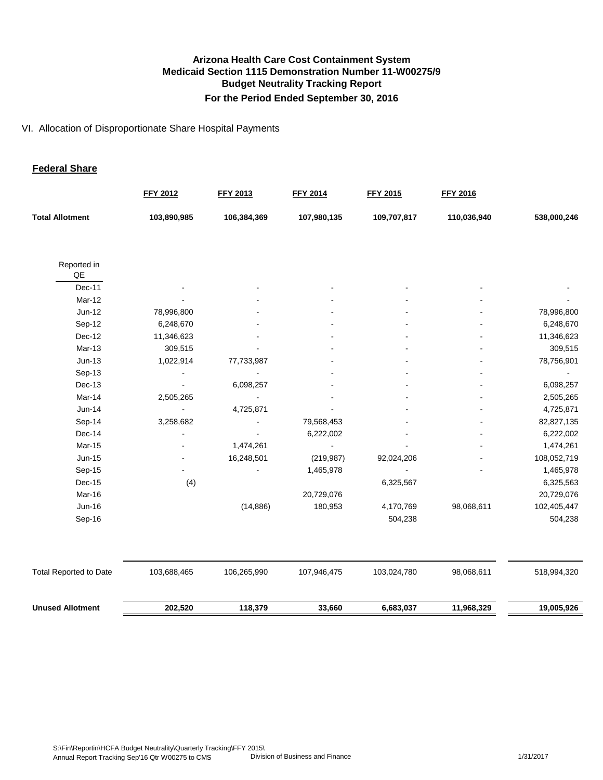#### VI. Allocation of Disproportionate Share Hospital Payments

#### **Federal Share**

|                               | <b>FFY 2012</b> | <b>FFY 2013</b> | <b>FFY 2014</b> | <b>FFY 2015</b> | <b>FFY 2016</b> |             |
|-------------------------------|-----------------|-----------------|-----------------|-----------------|-----------------|-------------|
| <b>Total Allotment</b>        | 103,890,985     | 106,384,369     | 107,980,135     | 109,707,817     | 110,036,940     | 538,000,246 |
| Reported in<br>QE             |                 |                 |                 |                 |                 |             |
| Dec-11                        |                 |                 |                 |                 |                 |             |
| Mar-12                        |                 |                 |                 |                 |                 |             |
| Jun-12                        | 78,996,800      |                 |                 |                 |                 | 78,996,800  |
| Sep-12                        | 6,248,670       |                 |                 |                 |                 | 6,248,670   |
| Dec-12                        | 11,346,623      |                 |                 |                 |                 | 11,346,623  |
| Mar-13                        | 309,515         |                 |                 |                 |                 | 309,515     |
| $Jun-13$                      | 1,022,914       | 77,733,987      |                 |                 |                 | 78,756,901  |
| Sep-13                        |                 |                 |                 |                 |                 |             |
| Dec-13                        |                 | 6,098,257       |                 |                 |                 | 6,098,257   |
| Mar-14                        | 2,505,265       |                 |                 |                 |                 | 2,505,265   |
| $Jun-14$                      |                 | 4,725,871       |                 |                 |                 | 4,725,871   |
| Sep-14                        | 3,258,682       |                 | 79,568,453      |                 |                 | 82,827,135  |
| Dec-14                        |                 |                 | 6,222,002       |                 |                 | 6,222,002   |
| Mar-15                        |                 | 1,474,261       |                 |                 |                 | 1,474,261   |
| Jun-15                        |                 | 16,248,501      | (219, 987)      | 92,024,206      |                 | 108,052,719 |
| Sep-15                        |                 |                 | 1,465,978       |                 |                 | 1,465,978   |
| $Dec-15$                      | (4)             |                 |                 | 6,325,567       |                 | 6,325,563   |
| Mar-16                        |                 |                 | 20,729,076      |                 |                 | 20,729,076  |
| Jun-16                        |                 | (14, 886)       | 180,953         | 4,170,769       | 98,068,611      | 102,405,447 |
| Sep-16                        |                 |                 |                 | 504,238         |                 | 504,238     |
|                               |                 |                 |                 |                 |                 |             |
| <b>Total Reported to Date</b> | 103,688,465     | 106,265,990     | 107,946,475     | 103,024,780     | 98,068,611      | 518,994,320 |
| <b>Unused Allotment</b>       | 202,520         | 118,379         | 33,660          | 6,683,037       | 11,968,329      | 19,005,926  |